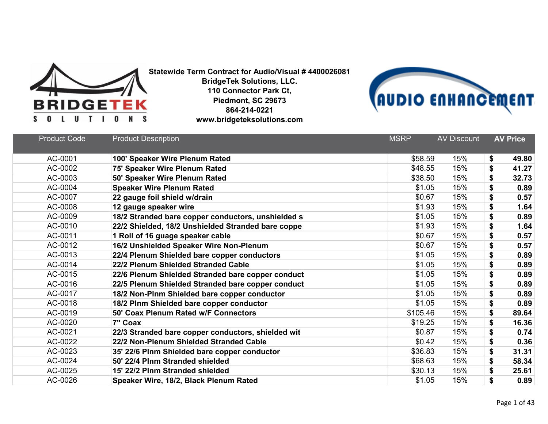



| <b>Product Code</b> | <b>Product Description</b>                         | <b>MSRP</b> | <b>AV Discount</b> | <b>AV Price</b> |
|---------------------|----------------------------------------------------|-------------|--------------------|-----------------|
| AC-0001             | 100' Speaker Wire Plenum Rated                     | \$58.59     | 15%                | \$<br>49.80     |
| AC-0002             | 75' Speaker Wire Plenum Rated                      | \$48.55     | 15%                | \$<br>41.27     |
| AC-0003             | 50' Speaker Wire Plenum Rated                      | \$38.50     | 15%                | \$<br>32.73     |
| AC-0004             | <b>Speaker Wire Plenum Rated</b>                   | \$1.05      | 15%                | \$<br>0.89      |
| AC-0007             | 22 gauge foil shield w/drain                       | \$0.67      | 15%                | \$<br>0.57      |
| AC-0008             | 12 gauge speaker wire                              | \$1.93      | 15%                | \$<br>1.64      |
| AC-0009             | 18/2 Stranded bare copper conductors, unshielded s | \$1.05      | 15%                | \$<br>0.89      |
| AC-0010             | 22/2 Shielded, 18/2 Unshielded Stranded bare coppe | \$1.93      | 15%                | \$<br>1.64      |
| AC-0011             | 1 Roll of 16 guage speaker cable                   | \$0.67      | 15%                | \$<br>0.57      |
| AC-0012             | 16/2 Unshielded Speaker Wire Non-Plenum            | \$0.67      | 15%                | \$<br>0.57      |
| AC-0013             | 22/4 Plenum Shielded bare copper conductors        | \$1.05      | 15%                | \$<br>0.89      |
| AC-0014             | 22/2 Plenum Shielded Stranded Cable                | \$1.05      | 15%                | \$<br>0.89      |
| AC-0015             | 22/6 Plenum Shielded Stranded bare copper conduct  | \$1.05      | 15%                | \$<br>0.89      |
| AC-0016             | 22/5 Plenum Shielded Stranded bare copper conduct  | \$1.05      | 15%                | \$<br>0.89      |
| AC-0017             | 18/2 Non-Plnm Shielded bare copper conductor       | \$1.05      | 15%                | \$<br>0.89      |
| AC-0018             | 18/2 Plnm Shielded bare copper conductor           | \$1.05      | 15%                | \$<br>0.89      |
| AC-0019             | 50' Coax Plenum Rated w/F Connectors               | \$105.46    | 15%                | \$<br>89.64     |
| AC-0020             | 7" Coax                                            | \$19.25     | 15%                | \$<br>16.36     |
| AC-0021             | 22/3 Stranded bare copper conductors, shielded wit | \$0.87      | 15%                | \$<br>0.74      |
| AC-0022             | 22/2 Non-Plenum Shielded Stranded Cable            | \$0.42      | 15%                | \$<br>0.36      |
| AC-0023             | 35' 22/6 Plnm Shielded bare copper conductor       | \$36.83     | 15%                | \$<br>31.31     |
| AC-0024             | 50' 22/4 Plnm Stranded shielded                    | \$68.63     | 15%                | \$<br>58.34     |
| AC-0025             | 15' 22/2 Plnm Stranded shielded                    | \$30.13     | 15%                | \$<br>25.61     |
| AC-0026             | Speaker Wire, 18/2, Black Plenum Rated             | \$1.05      | 15%                | \$<br>0.89      |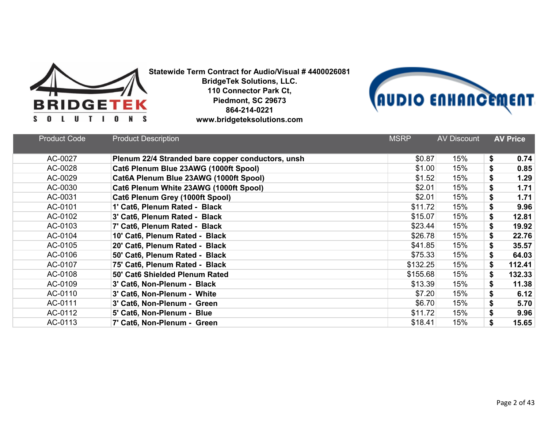



| <b>Product Code</b> | <b>Product Description</b>                        | <b>MSRP</b> | <b>AV Discount</b> | <b>AV Price</b> |
|---------------------|---------------------------------------------------|-------------|--------------------|-----------------|
| AC-0027             | Plenum 22/4 Stranded bare copper conductors, unsh | \$0.87      | 15%                | \$<br>0.74      |
| AC-0028             | Cat6 Plenum Blue 23AWG (1000ft Spool)             | \$1.00      | 15%                | \$<br>0.85      |
| AC-0029             | Cat6A Plenum Blue 23AWG (1000ft Spool)            | \$1.52      | 15%                | \$<br>1.29      |
| AC-0030             | Cat6 Plenum White 23AWG (1000ft Spool)            | \$2.01      | 15%                | \$<br>1.71      |
| AC-0031             | Cat6 Plenum Grey (1000ft Spool)                   | \$2.01      | 15%                | \$<br>1.71      |
| AC-0101             | 1' Cat6, Plenum Rated - Black                     | \$11.72     | 15%                | \$<br>9.96      |
| AC-0102             | 3' Cat6, Plenum Rated - Black                     | \$15.07     | 15%                | \$<br>12.81     |
| AC-0103             | 7' Cat6, Plenum Rated - Black                     | \$23.44     | 15%                | \$<br>19.92     |
| AC-0104             | 10' Cat6, Plenum Rated - Black                    | \$26.78     | 15%                | \$<br>22.76     |
| AC-0105             | 20' Cat6, Plenum Rated - Black                    | \$41.85     | 15%                | \$<br>35.57     |
| AC-0106             | 50' Cat6, Plenum Rated - Black                    | \$75.33     | 15%                | \$<br>64.03     |
| AC-0107             | 75' Cat6, Plenum Rated - Black                    | \$132.25    | 15%                | \$<br>112.41    |
| AC-0108             | 50' Cat6 Shielded Plenum Rated                    | \$155.68    | 15%                | \$<br>132.33    |
| AC-0109             | 3' Cat6, Non-Plenum - Black                       | \$13.39     | 15%                | \$<br>11.38     |
| AC-0110             | 3' Cat6, Non-Plenum - White                       | \$7.20      | 15%                | \$<br>6.12      |
| AC-0111             | 3' Cat6, Non-Plenum - Green                       | \$6.70      | 15%                | \$<br>5.70      |
| AC-0112             | 5' Cat6, Non-Plenum - Blue                        | \$11.72     | 15%                | \$<br>9.96      |
| AC-0113             | 7' Cat6, Non-Plenum - Green                       | \$18.41     | 15%                | \$<br>15.65     |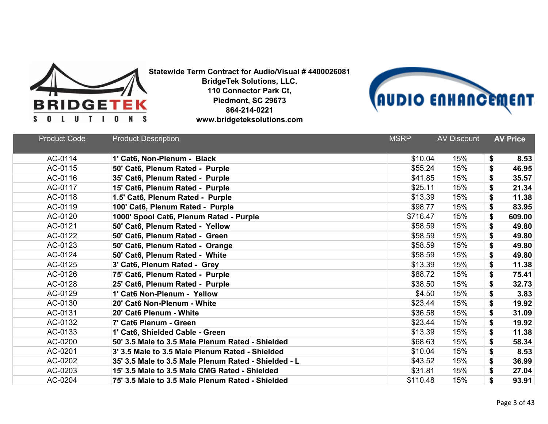



| <b>Product Code</b> | <b>Product Description</b>                           | <b>MSRP</b> | <b>AV Discount</b> | <b>AV Price</b> |
|---------------------|------------------------------------------------------|-------------|--------------------|-----------------|
| AC-0114             | 1' Cat6, Non-Plenum - Black                          | \$10.04     | 15%                | \$<br>8.53      |
| AC-0115             | 50' Cat6, Plenum Rated - Purple                      | \$55.24     | 15%                | \$<br>46.95     |
| AC-0116             | 35' Cat6, Plenum Rated - Purple                      | \$41.85     | 15%                | \$<br>35.57     |
| AC-0117             | 15' Cat6, Plenum Rated - Purple                      | \$25.11     | 15%                | \$<br>21.34     |
| AC-0118             | 1.5' Cat6, Plenum Rated - Purple                     | \$13.39     | 15%                | \$<br>11.38     |
| AC-0119             | 100' Cat6, Plenum Rated - Purple                     | \$98.77     | 15%                | \$<br>83.95     |
| AC-0120             | 1000' Spool Cat6, Plenum Rated - Purple              | \$716.47    | 15%                | \$<br>609.00    |
| AC-0121             | 50' Cat6, Plenum Rated - Yellow                      | \$58.59     | 15%                | \$<br>49.80     |
| AC-0122             | 50' Cat6, Plenum Rated - Green                       | \$58.59     | 15%                | \$<br>49.80     |
| AC-0123             | 50' Cat6, Plenum Rated - Orange                      | \$58.59     | 15%                | \$<br>49.80     |
| AC-0124             | 50' Cat6, Plenum Rated - White                       | \$58.59     | 15%                | \$<br>49.80     |
| AC-0125             | 3' Cat6, Plenum Rated - Grey                         | \$13.39     | 15%                | \$<br>11.38     |
| AC-0126             | 75' Cat6, Plenum Rated - Purple                      | \$88.72     | 15%                | \$<br>75.41     |
| AC-0128             | 25' Cat6, Plenum Rated - Purple                      | \$38.50     | 15%                | \$<br>32.73     |
| AC-0129             | 1' Cat6 Non-Plenum - Yellow                          | \$4.50      | 15%                | \$<br>3.83      |
| AC-0130             | 20' Cat6 Non-Plenum - White                          | \$23.44     | 15%                | \$<br>19.92     |
| AC-0131             | 20' Cat6 Plenum - White                              | \$36.58     | 15%                | \$<br>31.09     |
| AC-0132             | 7' Cat6 Plenum - Green                               | \$23.44     | 15%                | \$<br>19.92     |
| AC-0133             | 1' Cat6, Shielded Cable - Green                      | \$13.39     | 15%                | \$<br>11.38     |
| AC-0200             | 50' 3.5 Male to 3.5 Male Plenum Rated - Shielded     | \$68.63     | 15%                | \$<br>58.34     |
| AC-0201             | 3' 3.5 Male to 3.5 Male Plenum Rated - Shielded      | \$10.04     | 15%                | \$<br>8.53      |
| AC-0202             | 35' 3.5 Male to 3.5 Male Plenum Rated - Shielded - L | \$43.52     | 15%                | \$<br>36.99     |
| AC-0203             | 15' 3.5 Male to 3.5 Male CMG Rated - Shielded        | \$31.81     | 15%                | \$<br>27.04     |
| AC-0204             | 75' 3.5 Male to 3.5 Male Plenum Rated - Shielded     | \$110.48    | 15%                | \$<br>93.91     |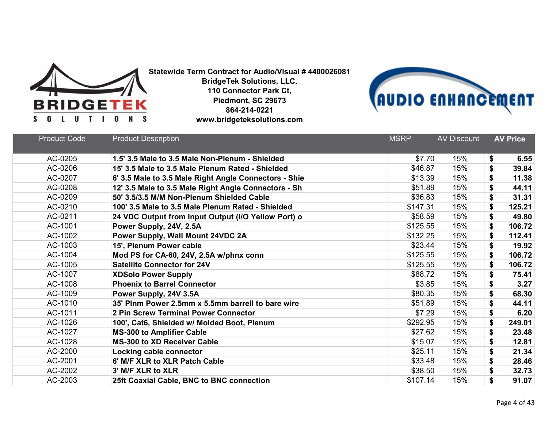



| <b>Product Code</b> | <b>Product Description</b>                            | <b>MSRP</b> | <b>AV Discount</b> | <b>AV Price</b> |
|---------------------|-------------------------------------------------------|-------------|--------------------|-----------------|
| AC-0205             | 1.5' 3.5 Male to 3.5 Male Non-Plenum - Shielded       | \$7.70      | 15%                | 6.55<br>\$      |
| AC-0206             | 15' 3.5 Male to 3.5 Male Plenum Rated - Shielded      | \$46.87     | 15%                | \$<br>39.84     |
| AC-0207             | 6' 3.5 Male to 3.5 Male Right Angle Connectors - Shie | \$13.39     | 15%                | \$<br>11.38     |
| AC-0208             | 12' 3.5 Male to 3.5 Male Right Angle Connectors - Sh  | \$51.89     | 15%                | \$<br>44.11     |
| AC-0209             | 50' 3.5/3.5 M/M Non-Plenum Shielded Cable             | \$36.83     | 15%                | 31.31<br>\$     |
| AC-0210             | 100' 3.5 Male to 3.5 Male Plenum Rated - Shielded     | \$147.31    | 15%                | \$<br>125.21    |
| AC-0211             | 24 VDC Output from Input Output (I/O Yellow Port) o   | \$58.59     | 15%                | \$<br>49.80     |
| AC-1001             | Power Supply, 24V, 2.5A                               | \$125.55    | 15%                | \$<br>106.72    |
| AC-1002             | Power Supply, Wall Mount 24VDC 2A                     | \$132.25    | 15%                | \$<br>112.41    |
| AC-1003             | 15', Plenum Power cable                               | \$23.44     | 15%                | \$<br>19.92     |
| AC-1004             | Mod PS for CA-60, 24V, 2.5A w/phnx conn               | \$125.55    | 15%                | \$<br>106.72    |
| AC-1005             | <b>Satellite Connector for 24V</b>                    | \$125.55    | 15%                | \$<br>106.72    |
| AC-1007             | <b>XDSolo Power Supply</b>                            | \$88.72     | 15%                | \$<br>75.41     |
| AC-1008             | <b>Phoenix to Barrel Connector</b>                    | \$3.85      | 15%                | \$<br>3.27      |
| AC-1009             | Power Supply, 24V 3.5A                                | \$80.35     | 15%                | \$<br>68.30     |
| AC-1010             | 35' Plnm Power 2.5mm x 5.5mm barrell to bare wire     | \$51.89     | 15%                | \$<br>44.11     |
| AC-1011             | 2 Pin Screw Terminal Power Connector                  | \$7.29      | 15%                | \$<br>6.20      |
| AC-1026             | 100', Cat6, Shielded w/ Molded Boot, Plenum           | \$292.95    | 15%                | \$<br>249.01    |
| AC-1027             | <b>MS-300 to Amplifier Cable</b>                      | \$27.62     | 15%                | \$<br>23.48     |
| AC-1028             | <b>MS-300 to XD Receiver Cable</b>                    | \$15.07     | 15%                | \$<br>12.81     |
| AC-2000             | Locking cable connector                               | \$25.11     | 15%                | \$<br>21.34     |
| AC-2001             | 6' M/F XLR to XLR Patch Cable                         | \$33.48     | 15%                | \$<br>28.46     |
| AC-2002             | 3' M/F XLR to XLR                                     | \$38.50     | 15%                | \$<br>32.73     |
| AC-2003             | 25ft Coaxial Cable, BNC to BNC connection             | \$107.14    | 15%                | \$<br>91.07     |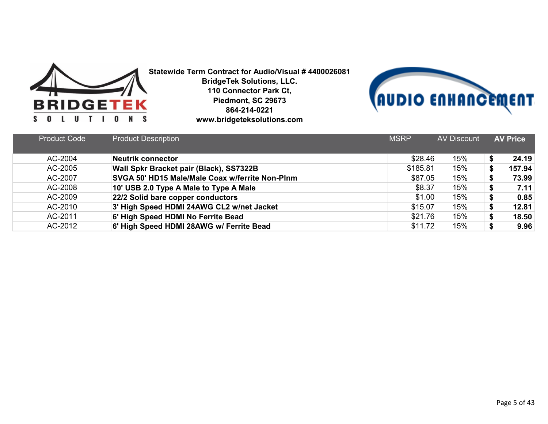



| <b>Product Code</b> | <b>Product Description</b>                      | <b>MSRP</b> | <b>AV Discount</b> | <b>AV Price</b> |
|---------------------|-------------------------------------------------|-------------|--------------------|-----------------|
|                     |                                                 |             |                    |                 |
| AC-2004             | <b>Neutrik connector</b>                        | \$28.46     | 15%                | 24.19           |
| AC-2005             | Wall Spkr Bracket pair (Black), SS7322B         | \$185.81    | 15%                | 157.94          |
| AC-2007             | SVGA 50' HD15 Male/Male Coax w/ferrite Non-Plnm | \$87.05     | 15%                | 73.99           |
| AC-2008             | 10' USB 2.0 Type A Male to Type A Male          | \$8.37      | 15%                | 7.11            |
| AC-2009             | 22/2 Solid bare copper conductors               | \$1.00      | 15%                | 0.85            |
| AC-2010             | 3' High Speed HDMI 24AWG CL2 w/net Jacket       | \$15.07     | 15%                | 12.81           |
| AC-2011             | 6' High Speed HDMI No Ferrite Bead              | \$21.76     | 15%                | 18.50           |
| AC-2012             | 6' High Speed HDMI 28AWG w/ Ferrite Bead        | \$11.72     | 15%                | 9.96            |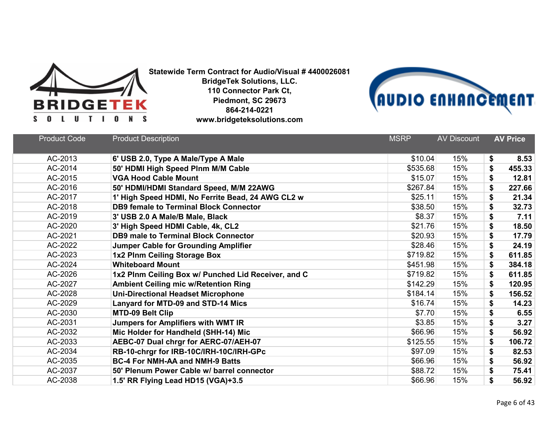



| <b>Product Code</b> | <b>Product Description</b>                          | <b>MSRP</b> | <b>AV Discount</b> | <b>AV Price</b> |
|---------------------|-----------------------------------------------------|-------------|--------------------|-----------------|
| AC-2013             | 6' USB 2.0, Type A Male/Type A Male                 | \$10.04     | 15%                | \$<br>8.53      |
| AC-2014             | 50' HDMI High Speed Plnm M/M Cable                  | \$535.68    | 15%                | \$<br>455.33    |
| AC-2015             | <b>VGA Hood Cable Mount</b>                         | \$15.07     | 15%                | \$<br>12.81     |
| AC-2016             | 50' HDMI/HDMI Standard Speed, M/M 22AWG             | \$267.84    | 15%                | \$<br>227.66    |
| AC-2017             | 1' High Speed HDMI, No Ferrite Bead, 24 AWG CL2 w   | \$25.11     | 15%                | \$<br>21.34     |
| AC-2018             | <b>DB9 female to Terminal Block Connector</b>       | \$38.50     | 15%                | \$<br>32.73     |
| AC-2019             | 3' USB 2.0 A Male/B Male, Black                     | \$8.37      | 15%                | \$<br>7.11      |
| AC-2020             | 3' High Speed HDMI Cable, 4k, CL2                   | \$21.76     | 15%                | \$<br>18.50     |
| AC-2021             | <b>DB9 male to Terminal Block Connector</b>         | \$20.93     | 15%                | \$<br>17.79     |
| AC-2022             | <b>Jumper Cable for Grounding Amplifier</b>         | \$28.46     | 15%                | \$<br>24.19     |
| AC-2023             | 1x2 Plnm Ceiling Storage Box                        | \$719.82    | 15%                | \$<br>611.85    |
| AC-2024             | <b>Whiteboard Mount</b>                             | \$451.98    | 15%                | \$<br>384.18    |
| AC-2026             | 1x2 Plnm Ceiling Box w/ Punched Lid Receiver, and C | \$719.82    | 15%                | \$<br>611.85    |
| AC-2027             | <b>Ambient Ceiling mic w/Retention Ring</b>         | \$142.29    | 15%                | \$<br>120.95    |
| AC-2028             | <b>Uni-Directional Headset Microphone</b>           | \$184.14    | 15%                | \$<br>156.52    |
| AC-2029             | Lanyard for MTD-09 and STD-14 Mics                  | \$16.74     | 15%                | \$<br>14.23     |
| AC-2030             | <b>MTD-09 Belt Clip</b>                             | \$7.70      | 15%                | \$<br>6.55      |
| AC-2031             | Jumpers for Amplifiers with WMT IR                  | \$3.85      | 15%                | \$<br>3.27      |
| AC-2032             | Mic Holder for Handheld (SHH-14) Mic                | \$66.96     | 15%                | \$<br>56.92     |
| AC-2033             | AEBC-07 Dual chrgr for AERC-07/AEH-07               | \$125.55    | 15%                | \$<br>106.72    |
| AC-2034             | RB-10-chrgr for IRB-10C/IRH-10C/IRH-GPc             | \$97.09     | 15%                | \$<br>82.53     |
| AC-2035             | <b>BC-4 For NMH-AA and NMH-9 Batts</b>              | \$66.96     | 15%                | \$<br>56.92     |
| AC-2037             | 50' Plenum Power Cable w/ barrel connector          | \$88.72     | 15%                | \$<br>75.41     |
| AC-2038             | 1.5' RR Flying Lead HD15 (VGA)+3.5                  | \$66.96     | 15%                | \$<br>56.92     |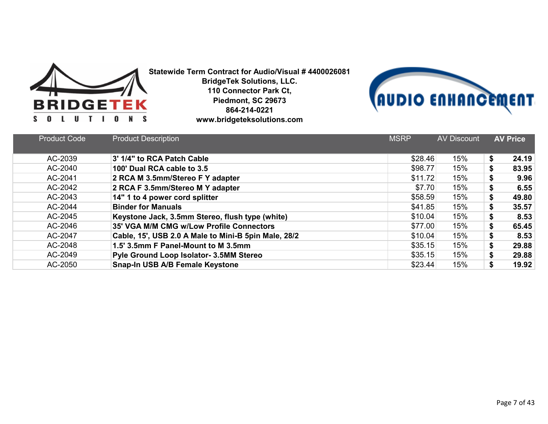



| <b>Product Code</b> | <b>Product Description</b>                           | <b>MSRP</b> | <b>AV Discount</b> | <b>AV Price</b> |
|---------------------|------------------------------------------------------|-------------|--------------------|-----------------|
| AC-2039             | 3' 1/4" to RCA Patch Cable                           | \$28.46     | 15%                | \$<br>24.19     |
| AC-2040             | 100' Dual RCA cable to 3.5                           | \$98.77     | 15%                | \$<br>83.95     |
| AC-2041             | 2 RCA M 3.5mm/Stereo F Y adapter                     | \$11.72     | 15%                | \$<br>9.96      |
| AC-2042             | 2 RCA F 3.5mm/Stereo M Y adapter                     | \$7.70      | 15%                | 6.55<br>\$      |
| AC-2043             | 14" 1 to 4 power cord splitter                       | \$58.59     | 15%                | \$<br>49.80     |
| AC-2044             | <b>Binder for Manuals</b>                            | \$41.85     | 15%                | \$<br>35.57     |
| AC-2045             | Keystone Jack, 3.5mm Stereo, flush type (white)      | \$10.04     | 15%                | \$<br>8.53      |
| AC-2046             | 35' VGA M/M CMG w/Low Profile Connectors             | \$77.00     | 15%                | \$<br>65.45     |
| AC-2047             | Cable, 15', USB 2.0 A Male to Mini-B 5pin Male, 28/2 | \$10.04     | 15%                | \$<br>8.53      |
| AC-2048             | 1.5' 3.5mm F Panel-Mount to M 3.5mm                  | \$35.15     | 15%                | \$<br>29.88     |
| AC-2049             | <b>Pyle Ground Loop Isolator- 3.5MM Stereo</b>       | \$35.15     | 15%                | \$<br>29.88     |
| AC-2050             | Snap-In USB A/B Female Keystone                      | \$23.44     | 15%                | 19.92           |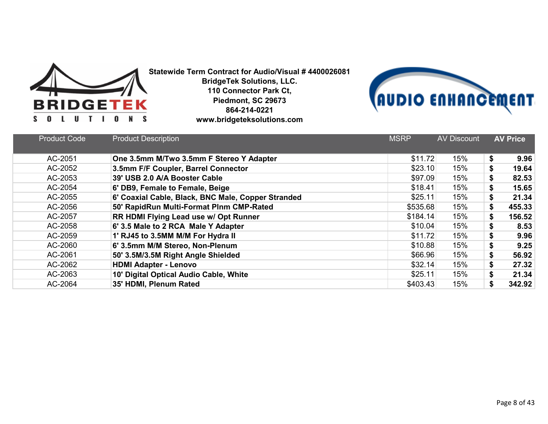



| <b>Product Code</b> | <b>Product Description</b>                         | <b>MSRP</b> | <b>AV Discount</b> | <b>AV Price</b> |
|---------------------|----------------------------------------------------|-------------|--------------------|-----------------|
| AC-2051             | One 3.5mm M/Two 3.5mm F Stereo Y Adapter           | \$11.72     | 15%                | \$<br>9.96      |
| AC-2052             | 3.5mm F/F Coupler, Barrel Connector                | \$23.10     | 15%                | \$<br>19.64     |
| AC-2053             | 39' USB 2.0 A/A Booster Cable                      | \$97.09     | 15%                | \$<br>82.53     |
| AC-2054             | 6' DB9, Female to Female, Beige                    | \$18.41     | 15%                | \$<br>15.65     |
| AC-2055             | 6' Coaxial Cable, Black, BNC Male, Copper Stranded | \$25.11     | 15%                | \$<br>21.34     |
| AC-2056             | 50' RapidRun Multi-Format Plnm CMP-Rated           | \$535.68    | 15%                | \$<br>455.33    |
| AC-2057             | RR HDMI Flying Lead use w/ Opt Runner              | \$184.14    | 15%                | \$<br>156.52    |
| AC-2058             | 6' 3.5 Male to 2 RCA Male Y Adapter                | \$10.04     | 15%                | \$<br>8.53      |
| AC-2059             | 1' RJ45 to 3.5MM M/M For Hydra II                  | \$11.72     | 15%                | \$<br>9.96      |
| AC-2060             | 6' 3.5mm M/M Stereo, Non-Plenum                    | \$10.88     | 15%                | \$<br>9.25      |
| AC-2061             | 50' 3.5M/3.5M Right Angle Shielded                 | \$66.96     | 15%                | \$<br>56.92     |
| AC-2062             | <b>HDMI Adapter - Lenovo</b>                       | \$32.14     | 15%                | \$<br>27.32     |
| AC-2063             | 10' Digital Optical Audio Cable, White             | \$25.11     | 15%                | \$<br>21.34     |
| AC-2064             | 35' HDMI, Plenum Rated                             | \$403.43    | 15%                | \$<br>342.92    |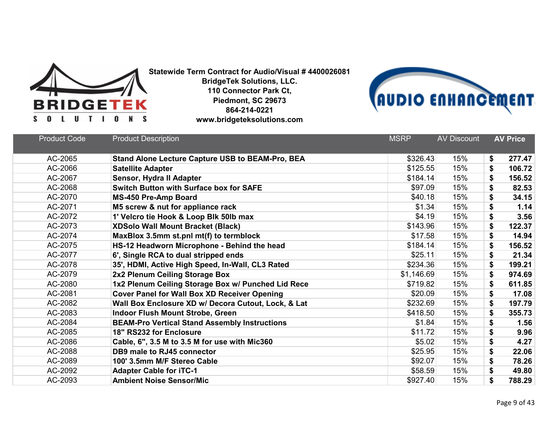



| <b>Product Code</b> | <b>Product Description</b>                              | <b>MSRP</b> | <b>AV Discount</b> | <b>AV Price</b> |
|---------------------|---------------------------------------------------------|-------------|--------------------|-----------------|
| AC-2065             | <b>Stand Alone Lecture Capture USB to BEAM-Pro, BEA</b> | \$326.43    | 15%                | \$<br>277.47    |
| AC-2066             | <b>Satellite Adapter</b>                                | \$125.55    | 15%                | \$<br>106.72    |
| AC-2067             | Sensor, Hydra II Adapter                                | \$184.14    | 15%                | \$<br>156.52    |
| AC-2068             | <b>Switch Button with Surface box for SAFE</b>          | \$97.09     | 15%                | \$<br>82.53     |
| AC-2070             | <b>MS-450 Pre-Amp Board</b>                             | \$40.18     | 15%                | \$<br>34.15     |
| AC-2071             | M5 screw & nut for appliance rack                       | \$1.34      | 15%                | \$<br>1.14      |
| AC-2072             | 1' Velcro tie Hook & Loop Blk 50lb max                  | \$4.19      | 15%                | \$<br>3.56      |
| AC-2073             | <b>XDSolo Wall Mount Bracket (Black)</b>                | \$143.96    | 15%                | \$<br>122.37    |
| AC-2074             | MaxBlox 3.5mm st.pnl mt(f) to termblock                 | \$17.58     | 15%                | \$<br>14.94     |
| AC-2075             | HS-12 Headworn Microphone - Behind the head             | \$184.14    | 15%                | \$<br>156.52    |
| AC-2077             | 6', Single RCA to dual stripped ends                    | \$25.11     | 15%                | \$<br>21.34     |
| AC-2078             | 35', HDMI, Active High Speed, In-Wall, CL3 Rated        | \$234.36    | 15%                | \$<br>199.21    |
| AC-2079             | 2x2 Plenum Ceiling Storage Box                          | \$1,146.69  | 15%                | \$<br>974.69    |
| AC-2080             | 1x2 Plenum Ceiling Storage Box w/ Punched Lid Rece      | \$719.82    | 15%                | \$<br>611.85    |
| AC-2081             | <b>Cover Panel for Wall Box XD Receiver Opening</b>     | \$20.09     | 15%                | \$<br>17.08     |
| AC-2082             | Wall Box Enclosure XD w/ Decora Cutout, Lock, & Lat     | \$232.69    | 15%                | \$<br>197.79    |
| AC-2083             | <b>Indoor Flush Mount Strobe, Green</b>                 | \$418.50    | 15%                | \$<br>355.73    |
| AC-2084             | <b>BEAM-Pro Vertical Stand Assembly Instructions</b>    | \$1.84      | 15%                | \$<br>1.56      |
| AC-2085             | 18" RS232 for Enclosure                                 | \$11.72     | 15%                | \$<br>9.96      |
| AC-2086             | Cable, 6", 3.5 M to 3.5 M for use with Mic360           | \$5.02      | 15%                | \$<br>4.27      |
| AC-2088             | DB9 male to RJ45 connector                              | \$25.95     | 15%                | \$<br>22.06     |
| AC-2089             | 100' 3.5mm M/F Stereo Cable                             | \$92.07     | 15%                | \$<br>78.26     |
| AC-2092             | <b>Adapter Cable for iTC-1</b>                          | \$58.59     | 15%                | \$<br>49.80     |
| AC-2093             | <b>Ambient Noise Sensor/Mic</b>                         | \$927.40    | 15%                | \$<br>788.29    |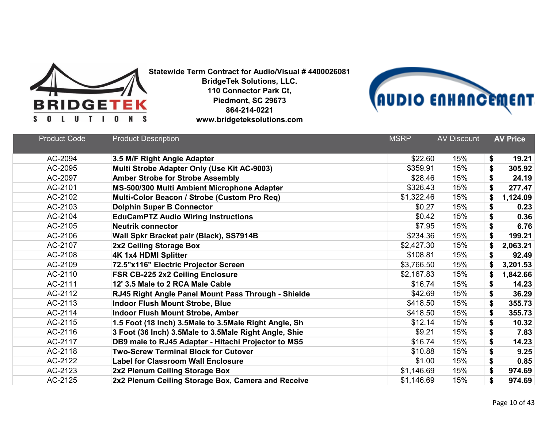



| <b>Product Code</b> | <b>Product Description</b>                            | <b>MSRP</b> | <b>AV Discount</b> | <b>AV Price</b> |
|---------------------|-------------------------------------------------------|-------------|--------------------|-----------------|
| AC-2094             | 3.5 M/F Right Angle Adapter                           | \$22.60     | 15%                | \$<br>19.21     |
| AC-2095             | Multi Strobe Adapter Only (Use Kit AC-9003)           | \$359.91    | 15%                | \$<br>305.92    |
| AC-2097             | <b>Amber Strobe for Strobe Assembly</b>               | \$28.46     | 15%                | \$<br>24.19     |
| AC-2101             | MS-500/300 Multi Ambient Microphone Adapter           | \$326.43    | 15%                | \$<br>277.47    |
| AC-2102             | Multi-Color Beacon / Strobe (Custom Pro Req)          | \$1,322.46  | 15%                | \$<br>1,124.09  |
| AC-2103             | <b>Dolphin Super B Connector</b>                      | \$0.27      | 15%                | \$<br>0.23      |
| AC-2104             | <b>EduCamPTZ Audio Wiring Instructions</b>            | \$0.42      | 15%                | \$<br>0.36      |
| AC-2105             | <b>Neutrik connector</b>                              | \$7.95      | 15%                | \$<br>6.76      |
| AC-2106             | Wall Spkr Bracket pair (Black), SS7914B               | \$234.36    | 15%                | \$<br>199.21    |
| AC-2107             | 2x2 Ceiling Storage Box                               | \$2,427.30  | 15%                | \$<br>2,063.21  |
| AC-2108             | <b>4K 1x4 HDMI Splitter</b>                           | \$108.81    | 15%                | \$<br>92.49     |
| AC-2109             | 72.5"x116" Electric Projector Screen                  | \$3,766.50  | 15%                | \$<br>3,201.53  |
| AC-2110             | FSR CB-225 2x2 Ceiling Enclosure                      | \$2,167.83  | 15%                | \$<br>1,842.66  |
| AC-2111             | 12' 3.5 Male to 2 RCA Male Cable                      | \$16.74     | 15%                | \$<br>14.23     |
| AC-2112             | RJ45 Right Angle Panel Mount Pass Through - Shielde   | \$42.69     | 15%                | \$<br>36.29     |
| AC-2113             | <b>Indoor Flush Mount Strobe, Blue</b>                | \$418.50    | 15%                | \$<br>355.73    |
| AC-2114             | <b>Indoor Flush Mount Strobe, Amber</b>               | \$418.50    | 15%                | \$<br>355.73    |
| AC-2115             | 1.5 Foot (18 Inch) 3.5Male to 3.5Male Right Angle, Sh | \$12.14     | 15%                | \$<br>10.32     |
| AC-2116             | 3 Foot (36 Inch) 3.5Male to 3.5Male Right Angle, Shie | \$9.21      | 15%                | \$<br>7.83      |
| AC-2117             | DB9 male to RJ45 Adapter - Hitachi Projector to MS5   | \$16.74     | 15%                | \$<br>14.23     |
| AC-2118             | <b>Two-Screw Terminal Block for Cutover</b>           | \$10.88     | 15%                | \$<br>9.25      |
| AC-2122             | <b>Label for Classroom Wall Enclosure</b>             | \$1.00      | 15%                | \$<br>0.85      |
| AC-2123             | 2x2 Plenum Ceiling Storage Box                        | \$1,146.69  | 15%                | \$<br>974.69    |
| AC-2125             | 2x2 Plenum Ceiling Storage Box, Camera and Receive    | \$1,146.69  | 15%                | \$<br>974.69    |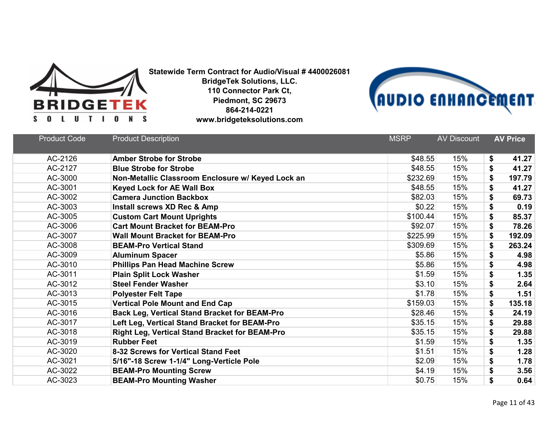



| <b>Product Code</b> | <b>Product Description</b>                            | <b>MSRP</b> | <b>AV Discount</b> | <b>AV Price</b> |
|---------------------|-------------------------------------------------------|-------------|--------------------|-----------------|
| AC-2126             | <b>Amber Strobe for Strobe</b>                        | \$48.55     | 15%                | \$<br>41.27     |
| AC-2127             | <b>Blue Strobe for Strobe</b>                         | \$48.55     | 15%                | \$<br>41.27     |
| AC-3000             | Non-Metallic Classroom Enclosure w/ Keyed Lock an     | \$232.69    | 15%                | \$<br>197.79    |
| AC-3001             | <b>Keyed Lock for AE Wall Box</b>                     | \$48.55     | 15%                | \$<br>41.27     |
| AC-3002             | <b>Camera Junction Backbox</b>                        | \$82.03     | 15%                | \$<br>69.73     |
| AC-3003             | Install screws XD Rec & Amp                           | \$0.22      | 15%                | \$<br>0.19      |
| AC-3005             | <b>Custom Cart Mount Uprights</b>                     | \$100.44    | 15%                | \$<br>85.37     |
| AC-3006             | <b>Cart Mount Bracket for BEAM-Pro</b>                | \$92.07     | 15%                | \$<br>78.26     |
| AC-3007             | <b>Wall Mount Bracket for BEAM-Pro</b>                | \$225.99    | 15%                | \$<br>192.09    |
| AC-3008             | <b>BEAM-Pro Vertical Stand</b>                        | \$309.69    | 15%                | \$<br>263.24    |
| AC-3009             | <b>Aluminum Spacer</b>                                | \$5.86      | 15%                | \$<br>4.98      |
| AC-3010             | <b>Phillips Pan Head Machine Screw</b>                | \$5.86      | 15%                | \$<br>4.98      |
| AC-3011             | <b>Plain Split Lock Washer</b>                        | \$1.59      | 15%                | \$<br>1.35      |
| AC-3012             | <b>Steel Fender Washer</b>                            | \$3.10      | 15%                | \$<br>2.64      |
| AC-3013             | <b>Polyester Felt Tape</b>                            | \$1.78      | 15%                | \$<br>1.51      |
| AC-3015             | <b>Vertical Pole Mount and End Cap</b>                | \$159.03    | 15%                | 135.18<br>\$    |
| AC-3016             | <b>Back Leg, Vertical Stand Bracket for BEAM-Pro</b>  | \$28.46     | 15%                | \$<br>24.19     |
| AC-3017             | Left Leg, Vertical Stand Bracket for BEAM-Pro         | \$35.15     | 15%                | \$<br>29.88     |
| AC-3018             | <b>Right Leg, Vertical Stand Bracket for BEAM-Pro</b> | \$35.15     | 15%                | \$<br>29.88     |
| AC-3019             | <b>Rubber Feet</b>                                    | \$1.59      | 15%                | \$<br>1.35      |
| AC-3020             | 8-32 Screws for Vertical Stand Feet                   | \$1.51      | 15%                | \$<br>1.28      |
| AC-3021             | 5/16"-18 Screw 1-1/4" Long-Verticle Pole              | \$2.09      | 15%                | \$<br>1.78      |
| AC-3022             | <b>BEAM-Pro Mounting Screw</b>                        | \$4.19      | 15%                | \$<br>3.56      |
| AC-3023             | <b>BEAM-Pro Mounting Washer</b>                       | \$0.75      | 15%                | \$<br>0.64      |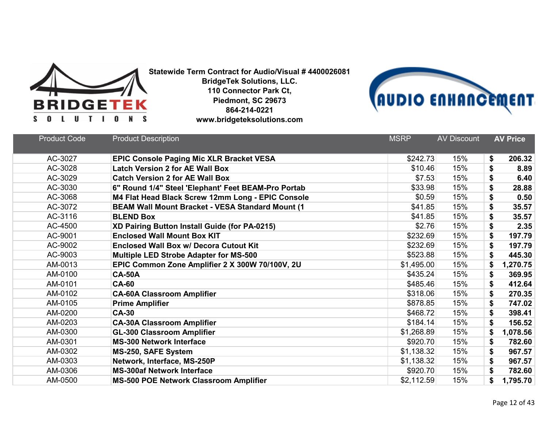



| <b>Product Code</b> | <b>Product Description</b>                              | <b>MSRP</b> | <b>AV Discount</b> | <b>AV Price</b> |
|---------------------|---------------------------------------------------------|-------------|--------------------|-----------------|
| AC-3027             | <b>EPIC Console Paging Mic XLR Bracket VESA</b>         | \$242.73    | 15%                | \$<br>206.32    |
| AC-3028             | <b>Latch Version 2 for AE Wall Box</b>                  | \$10.46     | 15%                | \$<br>8.89      |
| AC-3029             | <b>Catch Version 2 for AE Wall Box</b>                  | \$7.53      | 15%                | \$<br>6.40      |
| AC-3030             | 6" Round 1/4" Steel 'Elephant' Feet BEAM-Pro Portab     | \$33.98     | 15%                | \$<br>28.88     |
| AC-3068             | M4 Flat Head Black Screw 12mm Long - EPIC Console       | \$0.59      | 15%                | \$<br>0.50      |
| AC-3072             | <b>BEAM Wall Mount Bracket - VESA Standard Mount (1</b> | \$41.85     | 15%                | \$<br>35.57     |
| AC-3116             | <b>BLEND Box</b>                                        | \$41.85     | 15%                | \$<br>35.57     |
| AC-4500             | XD Pairing Button Install Guide (for PA-0215)           | \$2.76      | 15%                | \$<br>2.35      |
| AC-9001             | <b>Enclosed Wall Mount Box KIT</b>                      | \$232.69    | 15%                | \$<br>197.79    |
| AC-9002             | <b>Enclosed Wall Box w/ Decora Cutout Kit</b>           | \$232.69    | 15%                | \$<br>197.79    |
| AC-9003             | <b>Multiple LED Strobe Adapter for MS-500</b>           | \$523.88    | 15%                | \$<br>445.30    |
| AM-0013             | EPIC Common Zone Amplifier 2 X 300W 70/100V, 2U         | \$1,495.00  | 15%                | \$<br>1,270.75  |
| AM-0100             | <b>CA-50A</b>                                           | \$435.24    | 15%                | \$<br>369.95    |
| AM-0101             | <b>CA-60</b>                                            | \$485.46    | 15%                | 412.64<br>\$    |
| AM-0102             | <b>CA-60A Classroom Amplifier</b>                       | \$318.06    | 15%                | \$<br>270.35    |
| AM-0105             | <b>Prime Amplifier</b>                                  | \$878.85    | 15%                | 747.02<br>\$    |
| AM-0200             | <b>CA-30</b>                                            | \$468.72    | 15%                | \$<br>398.41    |
| AM-0203             | <b>CA-30A Classroom Amplifier</b>                       | \$184.14    | 15%                | \$<br>156.52    |
| AM-0300             | <b>GL-300 Classroom Amplifier</b>                       | \$1,268.89  | 15%                | \$<br>1,078.56  |
| AM-0301             | <b>MS-300 Network Interface</b>                         | \$920.70    | 15%                | 782.60<br>\$    |
| AM-0302             | MS-250, SAFE System                                     | \$1,138.32  | 15%                | \$<br>967.57    |
| AM-0303             | Network, Interface, MS-250P                             | \$1,138.32  | 15%                | \$<br>967.57    |
| AM-0306             | <b>MS-300af Network Interface</b>                       | \$920.70    | 15%                | \$<br>782.60    |
| AM-0500             | <b>MS-500 POE Network Classroom Amplifier</b>           | \$2,112.59  | 15%                | 1,795.70<br>\$  |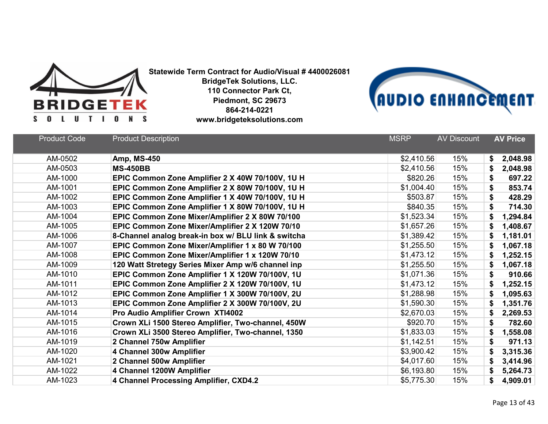



| <b>Product Code</b> | <b>Product Description</b>                          | <b>MSRP</b> | <b>AV Discount</b> | <b>AV Price</b> |
|---------------------|-----------------------------------------------------|-------------|--------------------|-----------------|
|                     |                                                     |             |                    |                 |
| AM-0502             | <b>Amp, MS-450</b>                                  | \$2,410.56  | 15%                | 2,048.98<br>\$  |
| AM-0503             | <b>MS-450BB</b>                                     | \$2,410.56  | 15%                | 2,048.98<br>S   |
| AM-1000             | EPIC Common Zone Amplifier 2 X 40W 70/100V, 1U H    | \$820.26    | 15%                | \$<br>697.22    |
| AM-1001             | EPIC Common Zone Amplifier 2 X 80W 70/100V, 1U H    | \$1,004.40  | 15%                | \$<br>853.74    |
| AM-1002             | EPIC Common Zone Amplifier 1 X 40W 70/100V, 1U H    | \$503.87    | 15%                | 428.29<br>\$    |
| AM-1003             | EPIC Common Zone Amplifier 1 X 80W 70/100V, 1U H    | \$840.35    | 15%                | \$<br>714.30    |
| AM-1004             | EPIC Common Zone Mixer/Amplifier 2 X 80W 70/100     | \$1,523.34  | 15%                | \$<br>1,294.84  |
| AM-1005             | EPIC Common Zone Mixer/Amplifier 2 X 120W 70/10     | \$1,657.26  | 15%                | \$<br>1,408.67  |
| AM-1006             | 8-Channel analog break-in box w/ BLU link & switcha | \$1,389.42  | 15%                | 1,181.01<br>\$  |
| AM-1007             | EPIC Common Zone Mixer/Amplifier 1 x 80 W 70/100    | \$1,255.50  | 15%                | 1,067.18<br>\$  |
| AM-1008             | EPIC Common Zone Mixer/Amplifier 1 x 120W 70/10     | \$1,473.12  | 15%                | \$<br>1,252.15  |
| AM-1009             | 120 Watt Stretegy Series Mixer Amp w/6 channel inp  | \$1,255.50  | 15%                | 1,067.18<br>\$  |
| AM-1010             | EPIC Common Zone Amplifier 1 X 120W 70/100V, 1U     | \$1,071.36  | 15%                | 910.66<br>\$    |
| AM-1011             | EPIC Common Zone Amplifier 2 X 120W 70/100V, 1U     | \$1,473.12  | 15%                | 1,252.15<br>\$  |
| AM-1012             | EPIC Common Zone Amplifier 1 X 300W 70/100V, 2U     | \$1,288.98  | 15%                | \$<br>1,095.63  |
| AM-1013             | EPIC Common Zone Amplifier 2 X 300W 70/100V, 2U     | \$1,590.30  | 15%                | 1,351.76<br>\$  |
| AM-1014             | Pro Audio Amplifier Crown XTI4002                   | \$2,670.03  | 15%                | \$<br>2,269.53  |
| AM-1015             | Crown XLi 1500 Stereo Amplifier, Two-channel, 450W  | \$920.70    | 15%                | \$<br>782.60    |
| AM-1016             | Crown XLi 3500 Stereo Amplifier, Two-channel, 1350  | \$1,833.03  | 15%                | 1,558.08<br>\$  |
| AM-1019             | 2 Channel 750w Amplifier                            | \$1,142.51  | 15%                | 971.13<br>\$    |
| AM-1020             | 4 Channel 300w Amplifier                            | \$3,900.42  | 15%                | 3,315.36<br>\$  |
| AM-1021             | 2 Channel 500w Amplifier                            | \$4,017.60  | 15%                | 3,414.96<br>\$  |
| AM-1022             | 4 Channel 1200W Amplifier                           | \$6,193.80  | 15%                | 5,264.73<br>\$  |
| AM-1023             | 4 Channel Processing Amplifier, CXD4.2              | \$5,775.30  | 15%                | 4,909.01<br>S   |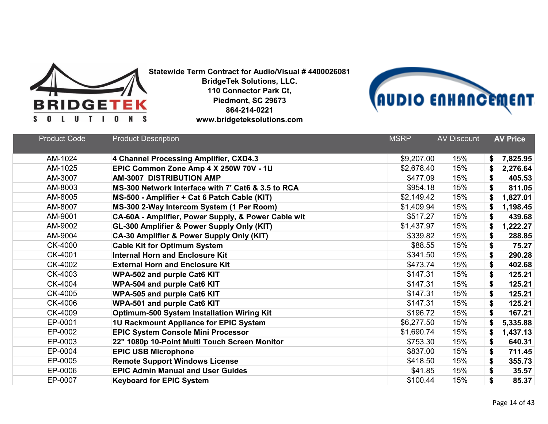



| <b>Product Code</b> | <b>Product Description</b>                          | <b>MSRP</b> | <b>AV Discount</b> | <b>AV Price</b> |
|---------------------|-----------------------------------------------------|-------------|--------------------|-----------------|
| AM-1024             | 4 Channel Processing Amplifier, CXD4.3              | \$9,207.00  | 15%                | 7,825.95<br>\$  |
| AM-1025             | EPIC Common Zone Amp 4 X 250W 70V - 1U              | \$2,678.40  | 15%                | 2,276.64        |
| AM-3007             | <b>AM-3007 DISTRIBUTION AMP</b>                     | \$477.09    | 15%                | \$<br>405.53    |
| AM-8003             | MS-300 Network Interface with 7' Cat6 & 3.5 to RCA  | \$954.18    | 15%                | \$<br>811.05    |
| AM-8005             | MS-500 - Amplifier + Cat 6 Patch Cable (KIT)        | \$2,149.42  | 15%                | \$<br>1,827.01  |
| AM-8007             | MS-300 2-Way Intercom System (1 Per Room)           | \$1,409.94  | 15%                | \$<br>1,198.45  |
| AM-9001             | CA-60A - Amplifier, Power Supply, & Power Cable wit | \$517.27    | 15%                | 439.68<br>\$    |
| AM-9002             | GL-300 Amplifier & Power Supply Only (KIT)          | \$1,437.97  | 15%                | \$<br>1,222.27  |
| AM-9004             | CA-30 Amplifier & Power Supply Only (KIT)           | \$339.82    | 15%                | \$<br>288.85    |
| CK-4000             | <b>Cable Kit for Optimum System</b>                 | \$88.55     | 15%                | \$<br>75.27     |
| CK-4001             | <b>Internal Horn and Enclosure Kit</b>              | \$341.50    | 15%                | \$<br>290.28    |
| CK-4002             | <b>External Horn and Enclosure Kit</b>              | \$473.74    | 15%                | \$<br>402.68    |
| CK-4003             | <b>WPA-502 and purple Cat6 KIT</b>                  | \$147.31    | 15%                | 125.21<br>\$    |
| CK-4004             | <b>WPA-504 and purple Cat6 KIT</b>                  | \$147.31    | 15%                | \$<br>125.21    |
| CK-4005             | WPA-505 and purple Cat6 KIT                         | \$147.31    | 15%                | \$<br>125.21    |
| CK-4006             | WPA-501 and purple Cat6 KIT                         | \$147.31    | 15%                | 125.21<br>\$    |
| CK-4009             | <b>Optimum-500 System Installation Wiring Kit</b>   | \$196.72    | 15%                | \$<br>167.21    |
| EP-0001             | 1U Rackmount Appliance for EPIC System              | \$6,277.50  | 15%                | \$<br>5,335.88  |
| EP-0002             | <b>EPIC System Console Mini Processor</b>           | \$1,690.74  | 15%                | 1,437.13<br>\$  |
| EP-0003             | 22" 1080p 10-Point Multi Touch Screen Monitor       | \$753.30    | 15%                | \$<br>640.31    |
| EP-0004             | <b>EPIC USB Microphone</b>                          | \$837.00    | 15%                | \$<br>711.45    |
| EP-0005             | <b>Remote Support Windows License</b>               | \$418.50    | 15%                | \$<br>355.73    |
| EP-0006             | <b>EPIC Admin Manual and User Guides</b>            | \$41.85     | 15%                | \$<br>35.57     |
| EP-0007             | <b>Keyboard for EPIC System</b>                     | \$100.44    | 15%                | \$<br>85.37     |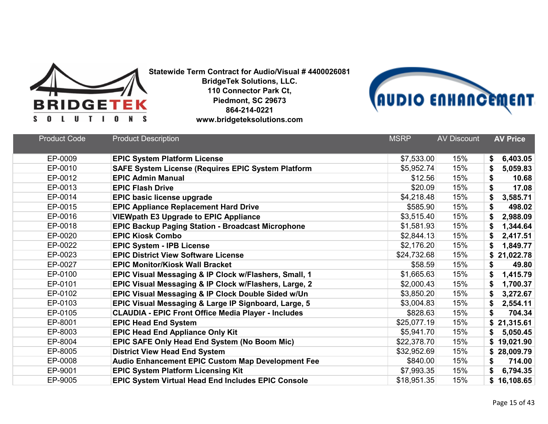



| <b>Product Code</b> | <b>Product Description</b>                                 | <b>MSRP</b> | <b>AV Discount</b> | <b>AV Price</b> |
|---------------------|------------------------------------------------------------|-------------|--------------------|-----------------|
|                     |                                                            |             |                    |                 |
| EP-0009             | <b>EPIC System Platform License</b>                        | \$7,533.00  | 15%                | 6,403.05<br>\$  |
| EP-0010             | <b>SAFE System License (Requires EPIC System Platform</b>  | \$5,952.74  | 15%                | 5,059.83<br>\$  |
| EP-0012             | <b>EPIC Admin Manual</b>                                   | \$12.56     | 15%                | \$<br>10.68     |
| EP-0013             | <b>EPIC Flash Drive</b>                                    | \$20.09     | 15%                | 17.08<br>\$     |
| EP-0014             | <b>EPIC basic license upgrade</b>                          | \$4,218.48  | 15%                | 3,585.71<br>\$  |
| EP-0015             | <b>EPIC Appliance Replacement Hard Drive</b>               | \$585.90    | 15%                | \$<br>498.02    |
| EP-0016             | <b>VIEWpath E3 Upgrade to EPIC Appliance</b>               | \$3,515.40  | 15%                | 2,988.09<br>\$  |
| EP-0018             | <b>EPIC Backup Paging Station - Broadcast Microphone</b>   | \$1,581.93  | 15%                | 1,344.64<br>\$  |
| EP-0020             | <b>EPIC Kiosk Combo</b>                                    | \$2,844.13  | 15%                | 2,417.51        |
| EP-0022             | <b>EPIC System - IPB License</b>                           | \$2,176.20  | 15%                | 1,849.77<br>\$  |
| EP-0023             | <b>EPIC District View Software License</b>                 | \$24,732.68 | 15%                | 21,022.78<br>\$ |
| EP-0027             | <b>EPIC Monitor/Kiosk Wall Bracket</b>                     | \$58.59     | 15%                | 49.80<br>\$     |
| EP-0100             | EPIC Visual Messaging & IP Clock w/Flashers, Small, 1      | \$1,665.63  | 15%                | \$<br>1,415.79  |
| EP-0101             | EPIC Visual Messaging & IP Clock w/Flashers, Large, 2      | \$2,000.43  | 15%                | 1,700.37<br>\$  |
| EP-0102             | EPIC Visual Messaging & IP Clock Double Sided w/Un         | \$3,850.20  | 15%                | \$<br>3,272.67  |
| EP-0103             | EPIC Visual Messaging & Large IP Signboard, Large, 5       | \$3,004.83  | 15%                | 2,554.11<br>\$  |
| EP-0105             | <b>CLAUDIA - EPIC Front Office Media Player - Includes</b> | \$828.63    | 15%                | \$<br>704.34    |
| EP-8001             | <b>EPIC Head End System</b>                                | \$25,077.19 | 15%                | \$21,315.61     |
| EP-8003             | <b>EPIC Head End Appliance Only Kit</b>                    | \$5,941.70  | 15%                | 5,050.45<br>\$  |
| EP-8004             | EPIC SAFE Only Head End System (No Boom Mic)               | \$22,378.70 | 15%                | \$19,021.90     |
| EP-8005             | <b>District View Head End System</b>                       | \$32,952.69 | 15%                | \$28,009.79     |
| EP-0008             | <b>Audio Enhancement EPIC Custom Map Development Fee</b>   | \$840.00    | 15%                | 714.00<br>\$    |
| EP-9001             | <b>EPIC System Platform Licensing Kit</b>                  | \$7,993.35  | 15%                | 6,794.35<br>\$  |
| EP-9005             | EPIC System Virtual Head End Includes EPIC Console         | \$18,951.35 | 15%                | \$16,108.65     |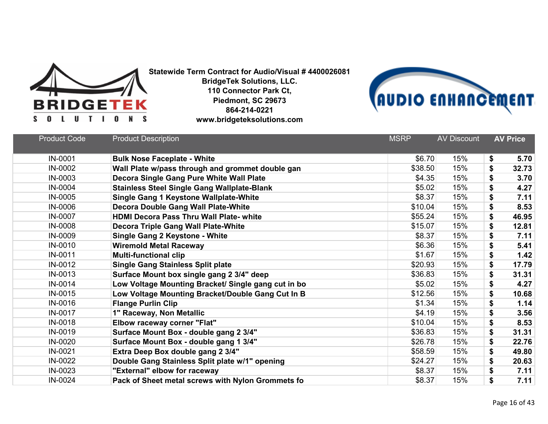



| <b>Product Code</b> | <b>Product Description</b>                          | <b>MSRP</b> | <b>AV Discount</b> | <b>AV Price</b> |
|---------------------|-----------------------------------------------------|-------------|--------------------|-----------------|
| IN-0001             | <b>Bulk Nose Faceplate - White</b>                  | \$6.70      | 15%                | \$<br>5.70      |
| IN-0002             | Wall Plate w/pass through and grommet double gan    | \$38.50     | 15%                | \$<br>32.73     |
| IN-0003             | Decora Single Gang Pure White Wall Plate            | \$4.35      | 15%                | \$<br>3.70      |
| IN-0004             | <b>Stainless Steel Single Gang Wallplate-Blank</b>  | \$5.02      | 15%                | \$<br>4.27      |
| IN-0005             | Single Gang 1 Keystone Wallplate-White              | \$8.37      | 15%                | \$<br>7.11      |
| IN-0006             | Decora Double Gang Wall Plate-White                 | \$10.04     | 15%                | \$<br>8.53      |
| IN-0007             | <b>HDMI Decora Pass Thru Wall Plate- white</b>      | \$55.24     | 15%                | \$<br>46.95     |
| IN-0008             | <b>Decora Triple Gang Wall Plate-White</b>          | \$15.07     | 15%                | \$<br>12.81     |
| IN-0009             | <b>Single Gang 2 Keystone - White</b>               | \$8.37      | 15%                | \$<br>7.11      |
| IN-0010             | <b>Wiremold Metal Raceway</b>                       | \$6.36      | 15%                | \$<br>5.41      |
| IN-0011             | <b>Multi-functional clip</b>                        | \$1.67      | 15%                | \$<br>1.42      |
| IN-0012             | <b>Single Gang Stainless Split plate</b>            | \$20.93     | 15%                | \$<br>17.79     |
| IN-0013             | Surface Mount box single gang 2 3/4" deep           | \$36.83     | 15%                | \$<br>31.31     |
| IN-0014             | Low Voltage Mounting Bracket/ Single gang cut in bo | \$5.02      | 15%                | \$<br>4.27      |
| IN-0015             | Low Voltage Mounting Bracket/Double Gang Cut In B   | \$12.56     | 15%                | \$<br>10.68     |
| IN-0016             | <b>Flange Purlin Clip</b>                           | \$1.34      | 15%                | \$<br>1.14      |
| IN-0017             | 1" Raceway, Non Metallic                            | \$4.19      | 15%                | \$<br>3.56      |
| IN-0018             | Elbow raceway corner "Flat"                         | \$10.04     | 15%                | \$<br>8.53      |
| IN-0019             | Surface Mount Box - double gang 2 3/4"              | \$36.83     | 15%                | \$<br>31.31     |
| IN-0020             | Surface Mount Box - double gang 1 3/4"              | \$26.78     | 15%                | \$<br>22.76     |
| IN-0021             | Extra Deep Box double gang 2 3/4"                   | \$58.59     | 15%                | \$<br>49.80     |
| IN-0022             | Double Gang Stainless Split plate w/1" opening      | \$24.27     | 15%                | \$<br>20.63     |
| IN-0023             | "External" elbow for raceway                        | \$8.37      | 15%                | \$<br>7.11      |
| IN-0024             | Pack of Sheet metal screws with Nylon Grommets fo   | \$8.37      | 15%                | \$<br>7.11      |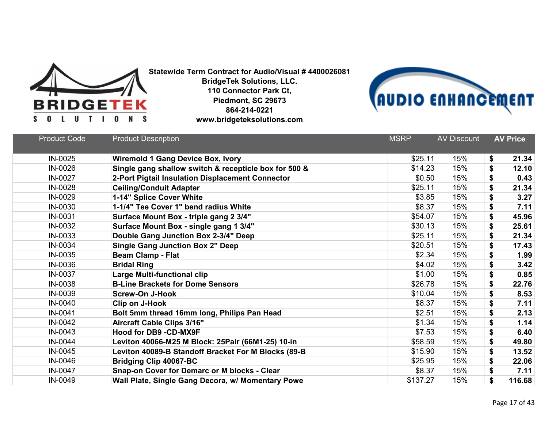



| <b>Product Code</b> | <b>Product Description</b>                            | <b>MSRP</b> | <b>AV Discount</b> | <b>AV Price</b> |
|---------------------|-------------------------------------------------------|-------------|--------------------|-----------------|
| IN-0025             | <b>Wiremold 1 Gang Device Box, Ivory</b>              | \$25.11     | 15%                | \$<br>21.34     |
| IN-0026             | Single gang shallow switch & recepticle box for 500 & | \$14.23     | 15%                | \$<br>12.10     |
| IN-0027             | 2-Port Pigtail Insulation Displacement Connector      | \$0.50      | 15%                | \$<br>0.43      |
| IN-0028             | <b>Ceiling/Conduit Adapter</b>                        | \$25.11     | 15%                | \$<br>21.34     |
| IN-0029             | 1-14" Splice Cover White                              | \$3.85      | 15%                | \$<br>3.27      |
| IN-0030             | 1-1/4" Tee Cover 1" bend radius White                 | \$8.37      | 15%                | \$<br>7.11      |
| IN-0031             | Surface Mount Box - triple gang 2 3/4"                | \$54.07     | 15%                | \$<br>45.96     |
| IN-0032             | Surface Mount Box - single gang 1 3/4"                | \$30.13     | 15%                | \$<br>25.61     |
| IN-0033             | Double Gang Junction Box 2-3/4" Deep                  | \$25.11     | 15%                | \$<br>21.34     |
| IN-0034             | <b>Single Gang Junction Box 2" Deep</b>               | \$20.51     | 15%                | \$<br>17.43     |
| IN-0035             | <b>Beam Clamp - Flat</b>                              | \$2.34      | 15%                | \$<br>1.99      |
| IN-0036             | <b>Bridal Ring</b>                                    | \$4.02      | 15%                | \$<br>3.42      |
| IN-0037             | <b>Large Multi-functional clip</b>                    | \$1.00      | 15%                | \$<br>0.85      |
| IN-0038             | <b>B-Line Brackets for Dome Sensors</b>               | \$26.78     | 15%                | \$<br>22.76     |
| IN-0039             | <b>Screw-On J-Hook</b>                                | \$10.04     | 15%                | \$<br>8.53      |
| IN-0040             | Clip on J-Hook                                        | \$8.37      | 15%                | \$<br>7.11      |
| IN-0041             | Bolt 5mm thread 16mm long, Philips Pan Head           | \$2.51      | 15%                | \$<br>2.13      |
| IN-0042             | <b>Aircraft Cable Clips 3/16"</b>                     | \$1.34      | 15%                | \$<br>1.14      |
| IN-0043             | Hood for DB9 -CD-MX9F                                 | \$7.53      | 15%                | \$<br>6.40      |
| IN-0044             | Leviton 40066-M25 M Block: 25Pair (66M1-25) 10-in     | \$58.59     | 15%                | \$<br>49.80     |
| IN-0045             | Leviton 40089-B Standoff Bracket For M Blocks (89-B   | \$15.90     | 15%                | \$<br>13.52     |
| IN-0046             | <b>Bridging Clip 40067-BC</b>                         | \$25.95     | 15%                | \$<br>22.06     |
| IN-0047             | Snap-on Cover for Demarc or M blocks - Clear          | \$8.37      | 15%                | \$<br>7.11      |
| IN-0049             | Wall Plate, Single Gang Decora, w/ Momentary Powe     | \$137.27    | 15%                | \$<br>116.68    |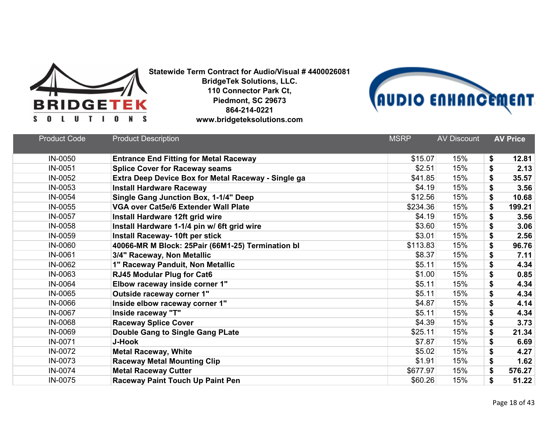



| <b>Product Code</b> | <b>Product Description</b>                          | <b>MSRP</b> | <b>AV Discount</b> | <b>AV Price</b> |
|---------------------|-----------------------------------------------------|-------------|--------------------|-----------------|
| IN-0050             | <b>Entrance End Fitting for Metal Raceway</b>       | \$15.07     | 15%                | \$<br>12.81     |
| IN-0051             | <b>Splice Cover for Raceway seams</b>               | \$2.51      | 15%                | \$<br>2.13      |
| IN-0052             | Extra Deep Device Box for Metal Raceway - Single ga | \$41.85     | 15%                | \$<br>35.57     |
| IN-0053             | <b>Install Hardware Raceway</b>                     | \$4.19      | 15%                | \$<br>3.56      |
| IN-0054             | Single Gang Junction Box, 1-1/4" Deep               | \$12.56     | 15%                | \$<br>10.68     |
| IN-0055             | <b>VGA over Cat5e/6 Extender Wall Plate</b>         | \$234.36    | 15%                | \$<br>199.21    |
| IN-0057             | Install Hardware 12ft grid wire                     | \$4.19      | 15%                | \$<br>3.56      |
| IN-0058             | Install Hardware 1-1/4 pin w/ 6ft grid wire         | \$3.60      | 15%                | \$<br>3.06      |
| IN-0059             | <b>Install Raceway- 10ft per stick</b>              | \$3.01      | 15%                | \$<br>2.56      |
| <b>IN-0060</b>      | 40066-MR M Block: 25Pair (66M1-25) Termination bl   | \$113.83    | 15%                | \$<br>96.76     |
| IN-0061             | 3/4" Raceway, Non Metallic                          | \$8.37      | 15%                | 7.11<br>\$      |
| IN-0062             | 1" Raceway Panduit, Non Metallic                    | \$5.11      | 15%                | \$<br>4.34      |
| IN-0063             | <b>RJ45 Modular Plug for Cat6</b>                   | \$1.00      | 15%                | \$<br>0.85      |
| IN-0064             | Elbow raceway inside corner 1"                      | \$5.11      | 15%                | \$<br>4.34      |
| IN-0065             | Outside raceway corner 1"                           | \$5.11      | 15%                | \$<br>4.34      |
| IN-0066             | Inside elbow raceway corner 1"                      | \$4.87      | 15%                | 4.14<br>\$      |
| IN-0067             | Inside raceway "T"                                  | \$5.11      | 15%                | 4.34<br>\$      |
| IN-0068             | <b>Raceway Splice Cover</b>                         | \$4.39      | 15%                | 3.73<br>\$      |
| IN-0069             | <b>Double Gang to Single Gang PLate</b>             | \$25.11     | 15%                | \$<br>21.34     |
| IN-0071             | <b>J-Hook</b>                                       | \$7.87      | 15%                | \$<br>6.69      |
| IN-0072             | <b>Metal Raceway, White</b>                         | \$5.02      | 15%                | \$<br>4.27      |
| IN-0073             | <b>Raceway Metal Mounting Clip</b>                  | \$1.91      | 15%                | 1.62<br>\$      |
| IN-0074             | <b>Metal Raceway Cutter</b>                         | \$677.97    | 15%                | \$<br>576.27    |
| IN-0075             | <b>Raceway Paint Touch Up Paint Pen</b>             | \$60.26     | 15%                | \$<br>51.22     |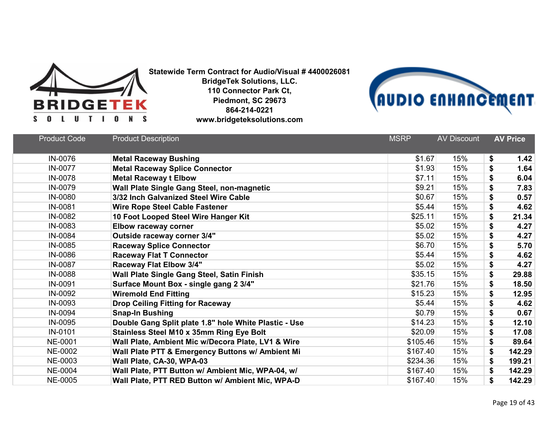



| <b>Product Code</b> | <b>Product Description</b>                            | <b>MSRP</b> | <b>AV Discount</b> | <b>AV Price</b> |
|---------------------|-------------------------------------------------------|-------------|--------------------|-----------------|
| IN-0076             | <b>Metal Raceway Bushing</b>                          | \$1.67      | 15%                | 1.42<br>\$      |
| IN-0077             | <b>Metal Raceway Splice Connector</b>                 | \$1.93      | 15%                | \$<br>1.64      |
| IN-0078             | <b>Metal Raceway t Elbow</b>                          | \$7.11      | 15%                | \$<br>6.04      |
| IN-0079             | Wall Plate Single Gang Steel, non-magnetic            | \$9.21      | 15%                | \$<br>7.83      |
| IN-0080             | 3/32 Inch Galvanized Steel Wire Cable                 | \$0.67      | 15%                | \$<br>0.57      |
| IN-0081             | <b>Wire Rope Steel Cable Fastener</b>                 | \$5.44      | 15%                | \$<br>4.62      |
| IN-0082             | 10 Foot Looped Steel Wire Hanger Kit                  | \$25.11     | 15%                | 21.34<br>\$     |
| IN-0083             | <b>Elbow raceway corner</b>                           | \$5.02      | 15%                | \$<br>4.27      |
| IN-0084             | Outside raceway corner 3/4"                           | \$5.02      | 15%                | \$<br>4.27      |
| IN-0085             | <b>Raceway Splice Connector</b>                       | \$6.70      | 15%                | 5.70<br>\$      |
| IN-0086             | <b>Raceway Flat T Connector</b>                       | \$5.44      | 15%                | 4.62<br>\$      |
| IN-0087             | Raceway Flat Elbow 3/4"                               | \$5.02      | 15%                | \$<br>4.27      |
| IN-0088             | Wall Plate Single Gang Steel, Satin Finish            | \$35.15     | 15%                | \$<br>29.88     |
| IN-0091             | Surface Mount Box - single gang 2 3/4"                | \$21.76     | 15%                | \$<br>18.50     |
| IN-0092             | <b>Wiremold End Fitting</b>                           | \$15.23     | 15%                | \$<br>12.95     |
| IN-0093             | <b>Drop Ceiling Fitting for Raceway</b>               | \$5.44      | 15%                | 4.62<br>\$      |
| IN-0094             | <b>Snap-In Bushing</b>                                | \$0.79      | 15%                | \$<br>0.67      |
| IN-0095             | Double Gang Split plate 1.8" hole White Plastic - Use | \$14.23     | 15%                | \$<br>12.10     |
| IN-0101             | <b>Stainless Steel M10 x 35mm Ring Eye Bolt</b>       | \$20.09     | 15%                | \$<br>17.08     |
| <b>NE-0001</b>      | Wall Plate, Ambient Mic w/Decora Plate, LV1 & Wire    | \$105.46    | 15%                | \$<br>89.64     |
| NE-0002             | Wall Plate PTT & Emergency Buttons w/ Ambient Mi      | \$167.40    | 15%                | \$<br>142.29    |
| NE-0003             | Wall Plate, CA-30, WPA-03                             | \$234.36    | 15%                | \$<br>199.21    |
| <b>NE-0004</b>      | Wall Plate, PTT Button w/ Ambient Mic, WPA-04, w/     | \$167.40    | 15%                | \$<br>142.29    |
| <b>NE-0005</b>      | Wall Plate, PTT RED Button w/ Ambient Mic, WPA-D      | \$167.40    | 15%                | \$<br>142.29    |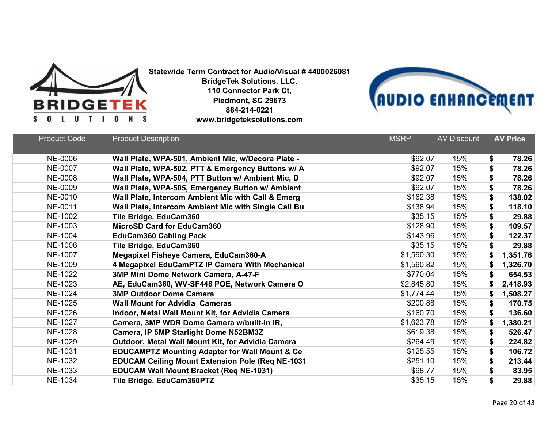



| <b>Product Code</b> | <b>Product Description</b>                                | <b>MSRP</b> | <b>AV Discount</b> | <b>AV Price</b> |
|---------------------|-----------------------------------------------------------|-------------|--------------------|-----------------|
| <b>NE-0006</b>      | Wall Plate, WPA-501, Ambient Mic, w/Decora Plate -        | \$92.07     | 15%                | \$<br>78.26     |
| <b>NE-0007</b>      | Wall Plate, WPA-502, PTT & Emergency Buttons w/ A         | \$92.07     | 15%                | \$<br>78.26     |
| <b>NE-0008</b>      | Wall Plate, WPA-504, PTT Button w/ Ambient Mic, D         | \$92.07     | 15%                | \$<br>78.26     |
| <b>NE-0009</b>      | Wall Plate, WPA-505, Emergency Button w/ Ambient          | \$92.07     | 15%                | \$<br>78.26     |
| NE-0010             | Wall Plate, Intercom Ambient Mic with Call & Emerg        | \$162.38    | 15%                | \$<br>138.02    |
| NE-0011             | Wall Plate, Intercom Ambient Mic with Single Call Bu      | \$138.94    | 15%                | \$<br>118.10    |
| <b>NE-1002</b>      | Tile Bridge, EduCam360                                    | \$35.15     | 15%                | \$<br>29.88     |
| NE-1003             | <b>MicroSD Card for EduCam360</b>                         | \$128.90    | 15%                | \$<br>109.57    |
| <b>NE-1004</b>      | <b>EduCam360 Cabling Pack</b>                             | \$143.96    | 15%                | \$<br>122.37    |
| <b>NE-1006</b>      | Tile Bridge, EduCam360                                    | \$35.15     | 15%                | \$<br>29.88     |
| <b>NE-1007</b>      | Megapixel Fisheye Camera, EduCam360-A                     | \$1,590.30  | 15%                | \$<br>1,351.76  |
| NE-1009             | 4 Megapixel EduCamPTZ IP Camera With Mechanical           | \$1,560.82  | 15%                | 1,326.70<br>\$  |
| NE-1022             | 3MP Mini Dome Network Camera, A-47-F                      | \$770.04    | 15%                | \$<br>654.53    |
| NE-1023             | AE, EduCam360, WV-SF448 POE, Network Camera O             | \$2,845.80  | 15%                | 2,418.93<br>\$  |
| NE-1024             | <b>3MP Outdoor Dome Camera</b>                            | \$1,774.44  | 15%                | \$<br>1,508.27  |
| <b>NE-1025</b>      | <b>Wall Mount for Advidia Cameras</b>                     | \$200.88    | 15%                | \$<br>170.75    |
| <b>NE-1026</b>      | Indoor, Metal Wall Mount Kit, for Advidia Camera          | \$160.70    | 15%                | \$<br>136.60    |
| <b>NE-1027</b>      | Camera, 3MP WDR Dome Camera w/built-in IR,                | \$1,623.78  | 15%                | \$<br>1,380.21  |
| <b>NE-1028</b>      | Camera, IP 5MP Starlight Dome N52BM3Z                     | \$619.38    | 15%                | \$<br>526.47    |
| NE-1029             | Outdoor, Metal Wall Mount Kit, for Advidia Camera         | \$264.49    | 15%                | \$<br>224.82    |
| <b>NE-1031</b>      | <b>EDUCAMPTZ Mounting Adapter for Wall Mount &amp; Ce</b> | \$125.55    | 15%                | \$<br>106.72    |
| NE-1032             | <b>EDUCAM Ceiling Mount Extension Pole (Req NE-1031</b>   | \$251.10    | 15%                | 213.44<br>\$    |
| NE-1033             | <b>EDUCAM Wall Mount Bracket (Req NE-1031)</b>            | \$98.77     | 15%                | \$<br>83.95     |
| <b>NE-1034</b>      | Tile Bridge, EduCam360PTZ                                 | \$35.15     | 15%                | \$<br>29.88     |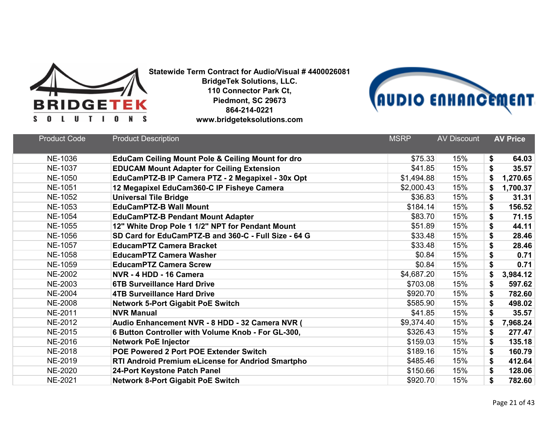



| <b>Product Code</b> | <b>Product Description</b>                                   | <b>MSRP</b> | <b>AV Discount</b> | <b>AV Price</b> |
|---------------------|--------------------------------------------------------------|-------------|--------------------|-----------------|
| NE-1036             | <b>EduCam Ceiling Mount Pole &amp; Ceiling Mount for dro</b> | \$75.33     | 15%                | \$<br>64.03     |
| <b>NE-1037</b>      | <b>EDUCAM Mount Adapter for Ceiling Extension</b>            | \$41.85     | 15%                | \$<br>35.57     |
| <b>NE-1050</b>      | EduCamPTZ-B IP Camera PTZ - 2 Megapixel - 30x Opt            | \$1,494.88  | 15%                | \$<br>1,270.65  |
| <b>NE-1051</b>      | 12 Megapixel EduCam360-C IP Fisheye Camera                   | \$2,000.43  | 15%                | \$<br>1,700.37  |
| <b>NE-1052</b>      | <b>Universal Tile Bridge</b>                                 | \$36.83     | 15%                | \$<br>31.31     |
| NE-1053             | <b>EduCamPTZ-B Wall Mount</b>                                | \$184.14    | 15%                | \$<br>156.52    |
| <b>NE-1054</b>      | <b>EduCamPTZ-B Pendant Mount Adapter</b>                     | \$83.70     | 15%                | \$<br>71.15     |
| <b>NE-1055</b>      | 12" White Drop Pole 1 1/2" NPT for Pendant Mount             | \$51.89     | 15%                | \$<br>44.11     |
| <b>NE-1056</b>      | SD Card for EduCamPTZ-B and 360-C - Full Size - 64 G         | \$33.48     | 15%                | \$<br>28.46     |
| <b>NE-1057</b>      | <b>EducamPTZ Camera Bracket</b>                              | \$33.48     | 15%                | \$<br>28.46     |
| <b>NE-1058</b>      | <b>EducamPTZ Camera Washer</b>                               | \$0.84      | 15%                | \$<br>0.71      |
| NE-1059             | <b>EducamPTZ Camera Screw</b>                                | \$0.84      | 15%                | \$<br>0.71      |
| <b>NE-2002</b>      | NVR - 4 HDD - 16 Camera                                      | \$4,687.20  | 15%                | 3,984.12<br>\$  |
| NE-2003             | <b>6TB Surveillance Hard Drive</b>                           | \$703.08    | 15%                | \$<br>597.62    |
| <b>NE-2004</b>      | <b>4TB Surveillance Hard Drive</b>                           | \$920.70    | 15%                | \$<br>782.60    |
| <b>NE-2008</b>      | <b>Network 5-Port Gigabit PoE Switch</b>                     | \$585.90    | 15%                | \$<br>498.02    |
| <b>NE-2011</b>      | <b>NVR Manual</b>                                            | \$41.85     | 15%                | \$<br>35.57     |
| <b>NE-2012</b>      | Audio Enhancement NVR - 8 HDD - 32 Camera NVR (              | \$9,374.40  | 15%                | \$<br>7,968.24  |
| NE-2015             | 6 Button Controller with Volume Knob - For GL-300,           | \$326.43    | 15%                | \$<br>277.47    |
| NE-2016             | <b>Network PoE Injector</b>                                  | \$159.03    | 15%                | \$<br>135.18    |
| <b>NE-2018</b>      | <b>POE Powered 2 Port POE Extender Switch</b>                | \$189.16    | 15%                | \$<br>160.79    |
| NE-2019             | RTI Android Premium eLicense for Andriod Smartpho            | \$485.46    | 15%                | \$<br>412.64    |
| <b>NE-2020</b>      | 24-Port Keystone Patch Panel                                 | \$150.66    | 15%                | \$<br>128.06    |
| <b>NE-2021</b>      | <b>Network 8-Port Gigabit PoE Switch</b>                     | \$920.70    | 15%                | \$<br>782.60    |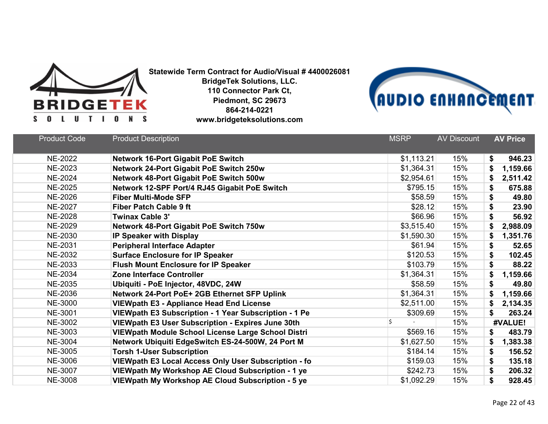



| <b>Product Code</b> | <b>Product Description</b>                               | <b>MSRP</b> | <b>AV Discount</b> | <b>AV Price</b> |
|---------------------|----------------------------------------------------------|-------------|--------------------|-----------------|
| <b>NE-2022</b>      | <b>Network 16-Port Gigabit PoE Switch</b>                | \$1,113.21  | 15%                | \$<br>946.23    |
| <b>NE-2023</b>      | Network 24-Port Gigabit PoE Switch 250w                  | \$1,364.31  | 15%                | 1,159.66        |
| <b>NE-2024</b>      | Network 48-Port Gigabit PoE Switch 500w                  | \$2,954.61  | 15%                | S<br>2,511.42   |
| <b>NE-2025</b>      | Network 12-SPF Port/4 RJ45 Gigabit PoE Switch            | \$795.15    | 15%                | 675.88<br>\$    |
| <b>NE-2026</b>      | <b>Fiber Multi-Mode SFP</b>                              | \$58.59     | 15%                | \$<br>49.80     |
| <b>NE-2027</b>      | <b>Fiber Patch Cable 9 ft</b>                            | \$28.12     | 15%                | \$<br>23.90     |
| <b>NE-2028</b>      | <b>Twinax Cable 3'</b>                                   | \$66.96     | 15%                | 56.92<br>\$     |
| <b>NE-2029</b>      | <b>Network 48-Port Gigabit PoE Switch 750w</b>           | \$3,515.40  | 15%                | 2,988.09        |
| NE-2030             | IP Speaker with Display                                  | \$1,590.30  | 15%                | 1,351.76<br>S   |
| <b>NE-2031</b>      | <b>Peripheral Interface Adapter</b>                      | \$61.94     | 15%                | \$<br>52.65     |
| <b>NE-2032</b>      | <b>Surface Enclosure for IP Speaker</b>                  | \$120.53    | 15%                | 102.45<br>\$    |
| NE-2033             | <b>Flush Mount Enclosure for IP Speaker</b>              | \$103.79    | 15%                | \$<br>88.22     |
| <b>NE-2034</b>      | <b>Zone Interface Controller</b>                         | \$1,364.31  | 15%                | 1,159.66<br>\$  |
| <b>NE-2035</b>      | Ubiquiti - PoE Injector, 48VDC, 24W                      | \$58.59     | 15%                | \$<br>49.80     |
| <b>NE-2036</b>      | Network 24-Port PoE+ 2GB Ethernet SFP Uplink             | \$1,364.31  | 15%                | S<br>1,159.66   |
| <b>NE-3000</b>      | <b>VIEWpath E3 - Appliance Head End License</b>          | \$2,511.00  | 15%                | 2,134.35        |
| <b>NE-3001</b>      | VIEWpath E3 Subscription - 1 Year Subscription - 1 Pe    | \$309.69    | 15%                | \$<br>263.24    |
| <b>NE-3002</b>      | <b>VIEWpath E3 User Subscription - Expires June 30th</b> | Ś           | 15%                | #VALUE!         |
| NE-3003             | VIEWpath Module School License Large School Distri       | \$569.16    | 15%                | 483.79<br>\$    |
| <b>NE-3004</b>      | Network Ubiquiti EdgeSwitch ES-24-500W, 24 Port M        | \$1,627.50  | 15%                | 1,383.38<br>\$  |
| <b>NE-3005</b>      | <b>Torsh 1-User Subscription</b>                         | \$184.14    | 15%                | \$<br>156.52    |
| <b>NE-3006</b>      | VIEWpath E3 Local Access Only User Subscription - fo     | \$159.03    | 15%                | 135.18<br>\$    |
| <b>NE-3007</b>      | VIEWpath My Workshop AE Cloud Subscription - 1 ye        | \$242.73    | 15%                | \$<br>206.32    |
| <b>NE-3008</b>      | VIEWpath My Workshop AE Cloud Subscription - 5 ye        | \$1,092.29  | 15%                | \$<br>928.45    |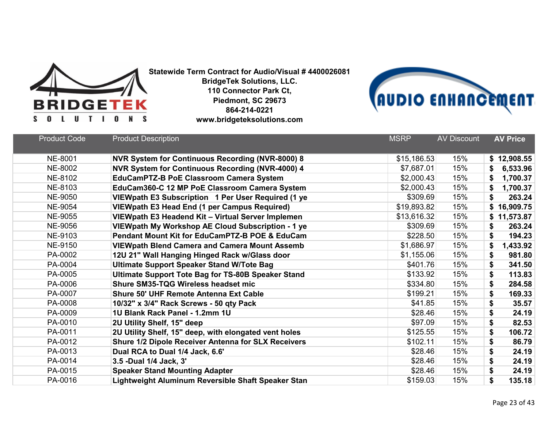



| <b>Product Code</b> | <b>Product Description</b>                                 | <b>MSRP</b> | <b>AV Discount</b> | <b>AV Price</b> |
|---------------------|------------------------------------------------------------|-------------|--------------------|-----------------|
|                     |                                                            |             |                    |                 |
| <b>NE-8001</b>      | NVR System for Continuous Recording (NVR-8000) 8           | \$15,186.53 | 15%                | \$12,908.55     |
| NE-8002             | NVR System for Continuous Recording (NVR-4000) 4           | \$7,687.01  | 15%                | 6,533.96        |
| NE-8102             | <b>EduCamPTZ-B PoE Classroom Camera System</b>             | \$2,000.43  | 15%                | 1,700.37<br>S   |
| NE-8103             | EduCam360-C 12 MP PoE Classroom Camera System              | \$2,000.43  | 15%                | 1,700.37<br>\$  |
| <b>NE-9050</b>      | VIEWpath E3 Subscription 1 Per User Required (1 ye         | \$309.69    | 15%                | 263.24<br>\$    |
| <b>NE-9054</b>      | <b>VIEWpath E3 Head End (1 per Campus Required)</b>        | \$19,893.82 | 15%                | \$16,909.75     |
| <b>NE-9055</b>      | VIEWpath E3 Headend Kit - Virtual Server Implemen          | \$13,616.32 | 15%                | \$11,573.87     |
| <b>NE-9056</b>      | VIEWpath My Workshop AE Cloud Subscription - 1 ye          | \$309.69    | 15%                | 263.24<br>\$    |
| NE-9103             | <b>Pendant Mount Kit for EduCamPTZ-B POE &amp; EduCam</b>  | \$228.50    | 15%                | 194.23<br>\$    |
| NE-9150             | <b>VIEWpath Blend Camera and Camera Mount Assemb</b>       | \$1,686.97  | 15%                | \$<br>1,433.92  |
| PA-0002             | 12U 21" Wall Hanging Hinged Rack w/Glass door              | \$1,155.06  | 15%                | \$<br>981.80    |
| PA-0004             | <b>Ultimate Support Speaker Stand W/Tote Bag</b>           | \$401.76    | 15%                | \$<br>341.50    |
| PA-0005             | <b>Ultimate Support Tote Bag for TS-80B Speaker Stand</b>  | \$133.92    | 15%                | \$<br>113.83    |
| PA-0006             | <b>Shure SM35-TQG Wireless headset mic</b>                 | \$334.80    | 15%                | \$<br>284.58    |
| PA-0007             | <b>Shure 50' UHF Remote Antenna Ext Cable</b>              | \$199.21    | 15%                | \$<br>169.33    |
| PA-0008             | 10/32" x 3/4" Rack Screws - 50 qty Pack                    | \$41.85     | 15%                | \$<br>35.57     |
| PA-0009             | 1U Blank Rack Panel - 1.2mm 1U                             | \$28.46     | 15%                | \$<br>24.19     |
| PA-0010             | 2U Utility Shelf, 15" deep                                 | \$97.09     | 15%                | \$<br>82.53     |
| PA-0011             | 2U Utility Shelf, 15" deep, with elongated vent holes      | \$125.55    | 15%                | \$<br>106.72    |
| PA-0012             | <b>Shure 1/2 Dipole Receiver Antenna for SLX Receivers</b> | \$102.11    | 15%                | \$<br>86.79     |
| PA-0013             | Dual RCA to Dual 1/4 Jack, 6.6'                            | \$28.46     | 15%                | \$<br>24.19     |
| PA-0014             | 3.5 -Dual 1/4 Jack, 3'                                     | \$28.46     | 15%                | \$<br>24.19     |
| PA-0015             | <b>Speaker Stand Mounting Adapter</b>                      | \$28.46     | 15%                | \$<br>24.19     |
| PA-0016             | Lightweight Aluminum Reversible Shaft Speaker Stan         | \$159.03    | 15%                | \$<br>135.18    |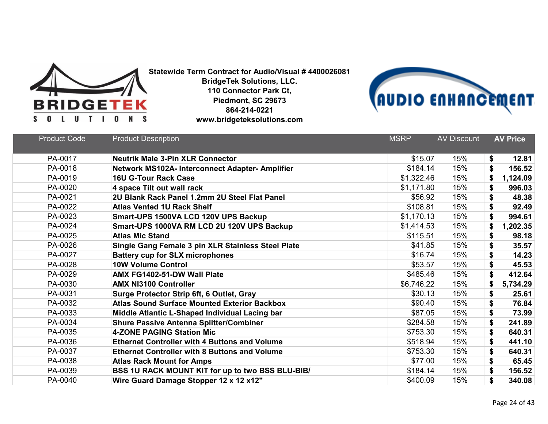



| <b>Product Code</b> | <b>Product Description</b>                           | <b>MSRP</b> | <b>AV Discount</b> | <b>AV Price</b> |  |
|---------------------|------------------------------------------------------|-------------|--------------------|-----------------|--|
| PA-0017             | <b>Neutrik Male 3-Pin XLR Connector</b>              | \$15.07     | 15%                | \$<br>12.81     |  |
| PA-0018             | Network MS102A- Interconnect Adapter- Amplifier      | \$184.14    | 15%                | \$<br>156.52    |  |
| PA-0019             | <b>16U G-Tour Rack Case</b>                          | \$1,322.46  | 15%                | 1,124.09<br>\$  |  |
| PA-0020             | 4 space Tilt out wall rack                           | \$1,171.80  | 15%                | \$<br>996.03    |  |
| PA-0021             | 2U Blank Rack Panel 1.2mm 2U Steel Flat Panel        | \$56.92     | 15%                | \$<br>48.38     |  |
| PA-0022             | <b>Atlas Vented 1U Rack Shelf</b>                    | \$108.81    | 15%                | \$<br>92.49     |  |
| PA-0023             | Smart-UPS 1500VA LCD 120V UPS Backup                 | \$1,170.13  | 15%                | \$<br>994.61    |  |
| PA-0024             | Smart-UPS 1000VA RM LCD 2U 120V UPS Backup           | \$1,414.53  | 15%                | \$<br>1,202.35  |  |
| PA-0025             | <b>Atlas Mic Stand</b>                               | \$115.51    | 15%                | \$<br>98.18     |  |
| PA-0026             | Single Gang Female 3 pin XLR Stainless Steel Plate   | \$41.85     | 15%                | \$<br>35.57     |  |
| PA-0027             | <b>Battery cup for SLX microphones</b>               | \$16.74     | 15%                | \$<br>14.23     |  |
| PA-0028             | <b>10W Volume Control</b>                            | \$53.57     | 15%                | \$<br>45.53     |  |
| PA-0029             | AMX FG1402-51-DW Wall Plate                          | \$485.46    | 15%                | \$<br>412.64    |  |
| PA-0030             | <b>AMX NI3100 Controller</b>                         | \$6,746.22  | 15%                | \$<br>5,734.29  |  |
| PA-0031             | Surge Protector Strip 6ft, 6 Outlet, Gray            | \$30.13     | 15%                | \$<br>25.61     |  |
| PA-0032             | <b>Atlas Sound Surface Mounted Exterior Backbox</b>  | \$90.40     | 15%                | \$<br>76.84     |  |
| PA-0033             | Middle Atlantic L-Shaped Individual Lacing bar       | \$87.05     | 15%                | \$<br>73.99     |  |
| PA-0034             | <b>Shure Passive Antenna Splitter/Combiner</b>       | \$284.58    | 15%                | \$<br>241.89    |  |
| PA-0035             | <b>4-ZONE PAGING Station Mic</b>                     | \$753.30    | 15%                | 640.31<br>\$    |  |
| PA-0036             | <b>Ethernet Controller with 4 Buttons and Volume</b> | \$518.94    | 15%                | \$<br>441.10    |  |
| PA-0037             | <b>Ethernet Controller with 8 Buttons and Volume</b> | \$753.30    | 15%                | \$<br>640.31    |  |
| PA-0038             | <b>Atlas Rack Mount for Amps</b>                     | \$77.00     | 15%                | \$<br>65.45     |  |
| PA-0039             | BSS 1U RACK MOUNT KIT for up to two BSS BLU-BIB/     | \$184.14    | 15%                | \$<br>156.52    |  |
| PA-0040             | Wire Guard Damage Stopper 12 x 12 x12"               | \$400.09    | 15%                | \$<br>340.08    |  |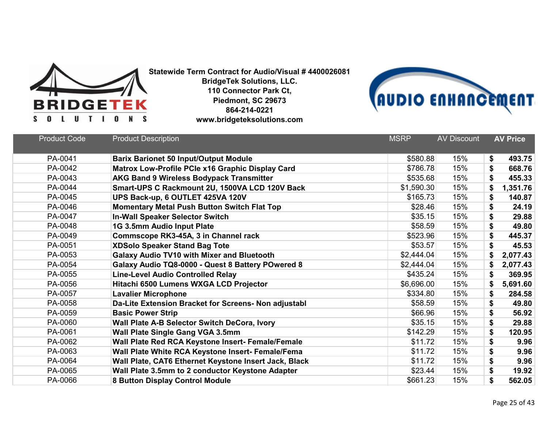



| <b>Product Code</b> | <b>Product Description</b>                            | <b>MSRP</b> | <b>AV Discount</b> | <b>AV Price</b> |
|---------------------|-------------------------------------------------------|-------------|--------------------|-----------------|
| PA-0041             | <b>Barix Barionet 50 Input/Output Module</b>          | \$580.88    | 15%                | \$<br>493.75    |
| PA-0042             | Matrox Low-Profile PCIe x16 Graphic Display Card      | \$786.78    | 15%                | \$<br>668.76    |
| PA-0043             | <b>AKG Band 9 Wireless Bodypack Transmitter</b>       | \$535.68    | 15%                | \$<br>455.33    |
| PA-0044             | Smart-UPS C Rackmount 2U, 1500VA LCD 120V Back        | \$1,590.30  | 15%                | 1,351.76<br>\$  |
| PA-0045             | UPS Back-up, 6 OUTLET 425VA 120V                      | \$165.73    | 15%                | \$<br>140.87    |
| PA-0046             | <b>Momentary Metal Push Button Switch Flat Top</b>    | \$28.46     | 15%                | \$<br>24.19     |
| PA-0047             | <b>In-Wall Speaker Selector Switch</b>                | \$35.15     | 15%                | \$<br>29.88     |
| PA-0048             | 1G 3.5mm Audio Input Plate                            | \$58.59     | 15%                | \$<br>49.80     |
| PA-0049             | Commscope RK3-45A, 3 in Channel rack                  | \$523.96    | 15%                | \$<br>445.37    |
| PA-0051             | <b>XDSolo Speaker Stand Bag Tote</b>                  | \$53.57     | 15%                | \$<br>45.53     |
| PA-0053             | <b>Galaxy Audio TV10 with Mixer and Bluetooth</b>     | \$2,444.04  | 15%                | \$<br>2,077.43  |
| PA-0054             | Galaxy Audio TQ8-0000 - Quest 8 Battery POwered 8     | \$2,444.04  | 15%                | \$<br>2,077.43  |
| PA-0055             | <b>Line-Level Audio Controlled Relay</b>              | \$435.24    | 15%                | \$<br>369.95    |
| PA-0056             | Hitachi 6500 Lumens WXGA LCD Projector                | \$6,696.00  | 15%                | 5,691.60<br>\$  |
| PA-0057             | <b>Lavalier Microphone</b>                            | \$334.80    | 15%                | \$<br>284.58    |
| PA-0058             | Da-Lite Extension Bracket for Screens- Non adjustabl  | \$58.59     | 15%                | \$<br>49.80     |
| PA-0059             | <b>Basic Power Strip</b>                              | \$66.96     | 15%                | \$<br>56.92     |
| PA-0060             | Wall Plate A-B Selector Switch DeCora, Ivory          | \$35.15     | 15%                | \$<br>29.88     |
| PA-0061             | Wall Plate Single Gang VGA 3.5mm                      | \$142.29    | 15%                | \$<br>120.95    |
| PA-0062             | Wall Plate Red RCA Keystone Insert- Female/Female     | \$11.72     | 15%                | \$<br>9.96      |
| PA-0063             | Wall Plate White RCA Keystone Insert- Female/Fema     | \$11.72     | 15%                | \$<br>9.96      |
| PA-0064             | Wall Plate, CAT6 Ethernet Keystone Insert Jack, Black | \$11.72     | 15%                | \$<br>9.96      |
| PA-0065             | Wall Plate 3.5mm to 2 conductor Keystone Adapter      | \$23.44     | 15%                | \$<br>19.92     |
| PA-0066             | 8 Button Display Control Module                       | \$661.23    | 15%                | \$<br>562.05    |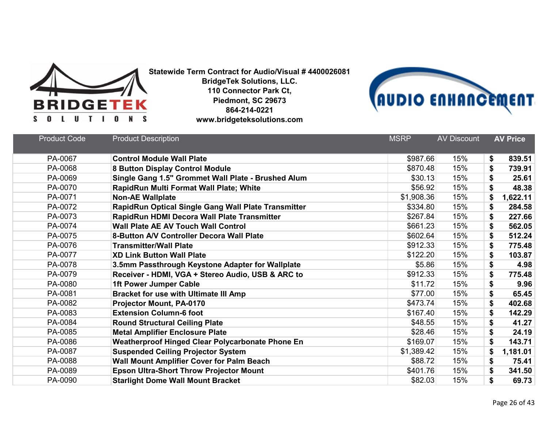



| <b>Product Code</b> | <b>Product Description</b>                              | <b>MSRP</b> | <b>AV Discount</b> | <b>AV Price</b> |
|---------------------|---------------------------------------------------------|-------------|--------------------|-----------------|
| PA-0067             | <b>Control Module Wall Plate</b>                        | \$987.66    | 15%                | \$<br>839.51    |
| PA-0068             | 8 Button Display Control Module                         | \$870.48    | 15%                | \$<br>739.91    |
| PA-0069             | Single Gang 1.5" Grommet Wall Plate - Brushed Alum      | \$30.13     | 15%                | \$<br>25.61     |
| PA-0070             | RapidRun Multi Format Wall Plate; White                 | \$56.92     | 15%                | \$<br>48.38     |
| PA-0071             | <b>Non-AE Wallplate</b>                                 | \$1,908.36  | 15%                | \$<br>1,622.11  |
| PA-0072             | RapidRun Optical Single Gang Wall Plate Transmitter     | \$334.80    | 15%                | 284.58<br>\$    |
| PA-0073             | RapidRun HDMI Decora Wall Plate Transmitter             | \$267.84    | 15%                | 227.66<br>\$    |
| PA-0074             | <b>Wall Plate AE AV Touch Wall Control</b>              | \$661.23    | 15%                | \$<br>562.05    |
| PA-0075             | <b>8-Button A/V Controller Decora Wall Plate</b>        | \$602.64    | 15%                | 512.24<br>\$    |
| PA-0076             | <b>Transmitter/Wall Plate</b>                           | \$912.33    | 15%                | \$<br>775.48    |
| PA-0077             | <b>XD Link Button Wall Plate</b>                        | \$122.20    | 15%                | \$<br>103.87    |
| PA-0078             | 3.5mm Passthrough Keystone Adapter for Wallplate        | \$5.86      | 15%                | \$<br>4.98      |
| PA-0079             | Receiver - HDMI, VGA + Stereo Audio, USB & ARC to       | \$912.33    | 15%                | \$<br>775.48    |
| PA-0080             | <b>1ft Power Jumper Cable</b>                           | \$11.72     | 15%                | \$<br>9.96      |
| PA-0081             | <b>Bracket for use with Ultimate III Amp</b>            | \$77.00     | 15%                | \$<br>65.45     |
| PA-0082             | <b>Projector Mount, PA-0170</b>                         | \$473.74    | 15%                | \$<br>402.68    |
| PA-0083             | <b>Extension Column-6 foot</b>                          | \$167.40    | 15%                | \$<br>142.29    |
| PA-0084             | <b>Round Structural Ceiling Plate</b>                   | \$48.55     | 15%                | \$<br>41.27     |
| PA-0085             | <b>Metal Amplifier Enclosure Plate</b>                  | \$28.46     | 15%                | \$<br>24.19     |
| PA-0086             | <b>Weatherproof Hinged Clear Polycarbonate Phone En</b> | \$169.07    | 15%                | \$<br>143.71    |
| PA-0087             | <b>Suspended Ceiling Projector System</b>               | \$1,389.42  | 15%                | 1,181.01<br>S   |
| PA-0088             | <b>Wall Mount Amplifier Cover for Palm Beach</b>        | \$88.72     | 15%                | \$<br>75.41     |
| PA-0089             | <b>Epson Ultra-Short Throw Projector Mount</b>          | \$401.76    | 15%                | \$<br>341.50    |
| PA-0090             | <b>Starlight Dome Wall Mount Bracket</b>                | \$82.03     | 15%                | \$<br>69.73     |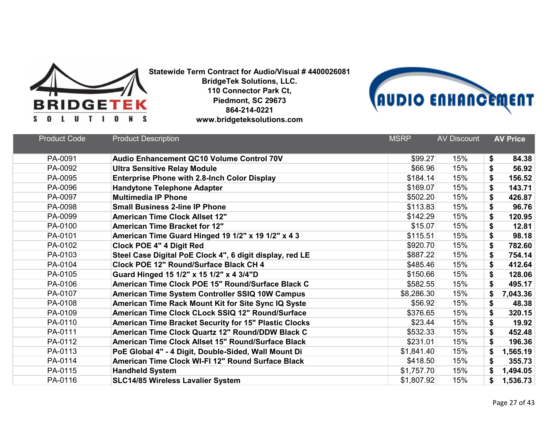



| <b>Product Code</b> | <b>Product Description</b>                               | <b>MSRP</b> | <b>AV Discount</b> | <b>AV Price</b> |
|---------------------|----------------------------------------------------------|-------------|--------------------|-----------------|
| PA-0091             | <b>Audio Enhancement QC10 Volume Control 70V</b>         | \$99.27     | 15%                | \$<br>84.38     |
| PA-0092             | <b>Ultra Sensitive Relay Module</b>                      | \$66.96     | 15%                | \$<br>56.92     |
| PA-0095             | <b>Enterprise Phone with 2.8-Inch Color Display</b>      | \$184.14    | 15%                | \$<br>156.52    |
| PA-0096             | <b>Handytone Telephone Adapter</b>                       | \$169.07    | 15%                | \$<br>143.71    |
| PA-0097             | <b>Multimedia IP Phone</b>                               | \$502.20    | 15%                | \$<br>426.87    |
| PA-0098             | <b>Small Business 2-line IP Phone</b>                    | \$113.83    | 15%                | \$<br>96.76     |
| PA-0099             | <b>American Time Clock Allset 12"</b>                    | \$142.29    | 15%                | \$<br>120.95    |
| PA-0100             | <b>American Time Bracket for 12"</b>                     | \$15.07     | 15%                | \$<br>12.81     |
| PA-0101             | American Time Guard Hinged 19 1/2" x 19 1/2" x 4 3       | \$115.51    | 15%                | \$<br>98.18     |
| PA-0102             | <b>Clock POE 4" 4 Digit Red</b>                          | \$920.70    | 15%                | \$<br>782.60    |
| PA-0103             | Steel Case Digital PoE Clock 4", 6 digit display, red LE | \$887.22    | 15%                | \$<br>754.14    |
| PA-0104             | Clock POE 12" Round/Surface Black CH 4                   | \$485.46    | 15%                | \$<br>412.64    |
| PA-0105             | Guard Hinged 15 1/2" x 15 1/2" x 4 3/4"D                 | \$150.66    | 15%                | \$<br>128.06    |
| PA-0106             | American Time Clock POE 15" Round/Surface Black C        | \$582.55    | 15%                | \$<br>495.17    |
| PA-0107             | American Time System Controller SSIQ 10W Campus          | \$8,286.30  | 15%                | \$<br>7,043.36  |
| PA-0108             | American Time Rack Mount Kit for Site Sync IQ Syste      | \$56.92     | 15%                | \$<br>48.38     |
| PA-0109             | American Time Clock CLock SSIQ 12" Round/Surface         | \$376.65    | 15%                | \$<br>320.15    |
| PA-0110             | American Time Bracket Security for 15" Plastic Clocks    | \$23.44     | 15%                | \$<br>19.92     |
| PA-0111             | American Time Clock Quartz 12" Round/DDW Black C         | \$532.33    | 15%                | \$<br>452.48    |
| PA-0112             | American Time Clock Allset 15" Round/Surface Black       | \$231.01    | 15%                | \$<br>196.36    |
| PA-0113             | PoE Global 4" - 4 Digit, Double-Sided, Wall Mount Di     | \$1,841.40  | 15%                | \$<br>1,565.19  |
| PA-0114             | American Time Clock WI-FI 12" Round Surface Black        | \$418.50    | 15%                | \$<br>355.73    |
| PA-0115             | <b>Handheld System</b>                                   | \$1,757.70  | 15%                | \$<br>1,494.05  |
| PA-0116             | <b>SLC14/85 Wireless Lavalier System</b>                 | \$1,807.92  | 15%                | \$<br>1,536.73  |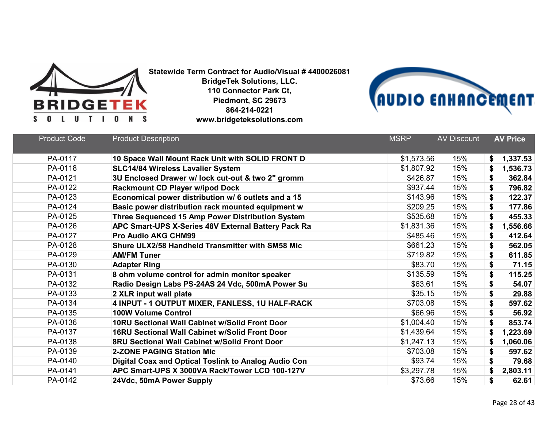



| <b>Product Code</b> | <b>Product Description</b>                            | <b>MSRP</b> | <b>AV Discount</b> | <b>AV Price</b> |
|---------------------|-------------------------------------------------------|-------------|--------------------|-----------------|
| PA-0117             | 10 Space Wall Mount Rack Unit with SOLID FRONT D      | \$1,573.56  | 15%                | 1,337.53<br>\$  |
| PA-0118             | <b>SLC14/84 Wireless Lavalier System</b>              | \$1,807.92  | 15%                | 1,536.73<br>\$  |
| PA-0121             | 3U Enclosed Drawer w/ lock cut-out & two 2" gromm     | \$426.87    | 15%                | 362.84<br>\$    |
| PA-0122             | Rackmount CD Player w/ipod Dock                       | \$937.44    | 15%                | \$<br>796.82    |
| PA-0123             | Economical power distribution w/ 6 outlets and a 15   | \$143.96    | 15%                | \$<br>122.37    |
| PA-0124             | Basic power distribution rack mounted equipment w     | \$209.25    | 15%                | \$<br>177.86    |
| PA-0125             | Three Sequenced 15 Amp Power Distribution System      | \$535.68    | 15%                | \$<br>455.33    |
| PA-0126             | APC Smart-UPS X-Series 48V External Battery Pack Ra   | \$1,831.36  | 15%                | \$<br>1,556.66  |
| PA-0127             | <b>Pro Audio AKG CHM99</b>                            | \$485.46    | 15%                | \$<br>412.64    |
| PA-0128             | Shure ULX2/58 Handheld Transmitter with SM58 Mic      | \$661.23    | 15%                | 562.05<br>\$    |
| PA-0129             | <b>AM/FM Tuner</b>                                    | \$719.82    | 15%                | \$<br>611.85    |
| PA-0130             | <b>Adapter Ring</b>                                   | \$83.70     | 15%                | \$<br>71.15     |
| PA-0131             | 8 ohm volume control for admin monitor speaker        | \$135.59    | 15%                | \$<br>115.25    |
| PA-0132             | Radio Design Labs PS-24AS 24 Vdc, 500mA Power Su      | \$63.61     | 15%                | \$<br>54.07     |
| PA-0133             | 2 XLR input wall plate                                | \$35.15     | 15%                | \$<br>29.88     |
| PA-0134             | 4 INPUT - 1 OUTPUT MIXER, FANLESS, 1U HALF-RACK       | \$703.08    | 15%                | \$<br>597.62    |
| PA-0135             | <b>100W Volume Control</b>                            | \$66.96     | 15%                | \$<br>56.92     |
| PA-0136             | 10RU Sectional Wall Cabinet w/Solid Front Door        | \$1,004.40  | 15%                | \$<br>853.74    |
| PA-0137             | <b>16RU Sectional Wall Cabinet w/Solid Front Door</b> | \$1,439.64  | 15%                | \$<br>1,223.69  |
| PA-0138             | 8RU Sectional Wall Cabinet w/Solid Front Door         | \$1,247.13  | 15%                | \$<br>1,060.06  |
| PA-0139             | <b>2-ZONE PAGING Station Mic</b>                      | \$703.08    | 15%                | \$<br>597.62    |
| PA-0140             | Digital Coax and Optical Toslink to Analog Audio Con  | \$93.74     | 15%                | \$<br>79.68     |
| PA-0141             | APC Smart-UPS X 3000VA Rack/Tower LCD 100-127V        | \$3,297.78  | 15%                | \$<br>2,803.11  |
| PA-0142             | 24Vdc, 50mA Power Supply                              | \$73.66     | 15%                | 62.61<br>\$     |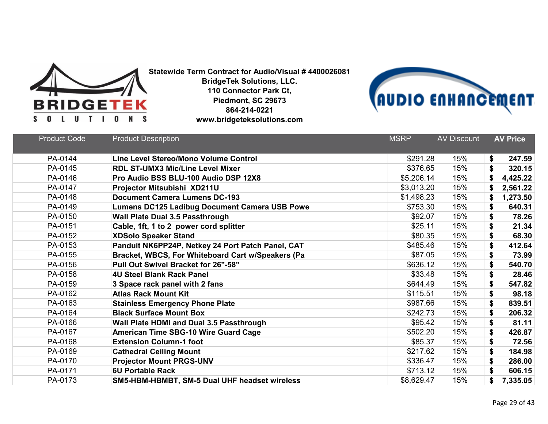



| <b>Product Code</b> | <b>Product Description</b>                           | <b>MSRP</b> | <b>AV Discount</b> | <b>AV Price</b> |
|---------------------|------------------------------------------------------|-------------|--------------------|-----------------|
|                     |                                                      |             |                    |                 |
| PA-0144             | Line Level Stereo/Mono Volume Control                | \$291.28    | 15%                | \$<br>247.59    |
| PA-0145             | <b>RDL ST-UMX3 Mic/Line Level Mixer</b>              | \$376.65    | 15%                | \$<br>320.15    |
| PA-0146             | Pro Audio BSS BLU-100 Audio DSP 12X8                 | \$5,206.14  | 15%                | \$<br>4,425.22  |
| PA-0147             | Projector Mitsubishi XD211U                          | \$3,013.20  | 15%                | \$<br>2,561.22  |
| PA-0148             | <b>Document Camera Lumens DC-193</b>                 | \$1,498.23  | 15%                | \$<br>1,273.50  |
| PA-0149             | <b>Lumens DC125 Ladibug Document Camera USB Powe</b> | \$753.30    | 15%                | \$<br>640.31    |
| PA-0150             | <b>Wall Plate Dual 3.5 Passthrough</b>               | \$92.07     | 15%                | \$<br>78.26     |
| PA-0151             | Cable, 1ft, 1 to 2 power cord splitter               | \$25.11     | 15%                | \$<br>21.34     |
| PA-0152             | <b>XDSolo Speaker Stand</b>                          | \$80.35     | 15%                | \$<br>68.30     |
| PA-0153             | Panduit NK6PP24P, Netkey 24 Port Patch Panel, CAT    | \$485.46    | 15%                | \$<br>412.64    |
| PA-0155             | Bracket, WBCS, For Whiteboard Cart w/Speakers (Pa    | \$87.05     | 15%                | \$<br>73.99     |
| PA-0156             | Pull Out Swivel Bracket for 26"-58"                  | \$636.12    | 15%                | \$<br>540.70    |
| PA-0158             | <b>4U Steel Blank Rack Panel</b>                     | \$33.48     | 15%                | \$<br>28.46     |
| PA-0159             | 3 Space rack panel with 2 fans                       | \$644.49    | 15%                | \$<br>547.82    |
| PA-0162             | <b>Atlas Rack Mount Kit</b>                          | \$115.51    | 15%                | \$<br>98.18     |
| PA-0163             | <b>Stainless Emergency Phone Plate</b>               | \$987.66    | 15%                | \$<br>839.51    |
| PA-0164             | <b>Black Surface Mount Box</b>                       | \$242.73    | 15%                | \$<br>206.32    |
| PA-0166             | Wall Plate HDMI and Dual 3.5 Passthrough             | \$95.42     | 15%                | \$<br>81.11     |
| PA-0167             | <b>American Time SBG-10 Wire Guard Cage</b>          | \$502.20    | 15%                | \$<br>426.87    |
| PA-0168             | <b>Extension Column-1 foot</b>                       | \$85.37     | 15%                | \$<br>72.56     |
| PA-0169             | <b>Cathedral Ceiling Mount</b>                       | \$217.62    | 15%                | \$<br>184.98    |
| PA-0170             | <b>Projector Mount PRGS-UNV</b>                      | \$336.47    | 15%                | \$<br>286.00    |
| PA-0171             | <b>6U Portable Rack</b>                              | \$713.12    | 15%                | \$<br>606.15    |
| PA-0173             | SM5-HBM-HBMBT, SM-5 Dual UHF headset wireless        | \$8,629.47  | 15%                | \$<br>7,335.05  |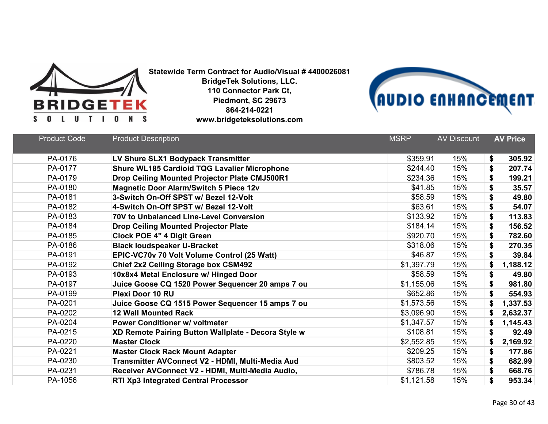



| <b>Product Code</b> | <b>Product Description</b>                          | <b>MSRP</b> | <b>AV Discount</b> | <b>AV Price</b> |
|---------------------|-----------------------------------------------------|-------------|--------------------|-----------------|
|                     |                                                     |             |                    |                 |
| PA-0176             | LV Shure SLX1 Bodypack Transmitter                  | \$359.91    | 15%                | \$<br>305.92    |
| PA-0177             | <b>Shure WL185 Cardioid TQG Lavalier Microphone</b> | \$244.40    | 15%                | \$<br>207.74    |
| PA-0179             | Drop Ceiling Mounted Projector Plate CMJ500R1       | \$234.36    | 15%                | \$<br>199.21    |
| PA-0180             | <b>Magnetic Door Alarm/Switch 5 Piece 12v</b>       | \$41.85     | 15%                | \$<br>35.57     |
| PA-0181             | 3-Switch On-Off SPST w/ Bezel 12-Volt               | \$58.59     | 15%                | \$<br>49.80     |
| PA-0182             | 4-Switch On-Off SPST w/ Bezel 12-Volt               | \$63.61     | 15%                | \$<br>54.07     |
| PA-0183             | 70V to Unbalanced Line-Level Conversion             | \$133.92    | 15%                | 113.83<br>\$    |
| PA-0184             | <b>Drop Ceiling Mounted Projector Plate</b>         | \$184.14    | 15%                | \$<br>156.52    |
| PA-0185             | <b>Clock POE 4" 4 Digit Green</b>                   | \$920.70    | 15%                | 782.60<br>\$    |
| PA-0186             | <b>Black loudspeaker U-Bracket</b>                  | \$318.06    | 15%                | 270.35<br>\$    |
| PA-0191             | EPIC-VC70v 70 Volt Volume Control (25 Watt)         | \$46.87     | 15%                | \$<br>39.84     |
| PA-0192             | Chief 2x2 Ceiling Storage box CSM492                | \$1,397.79  | 15%                | 1,188.12<br>\$  |
| PA-0193             | 10x8x4 Metal Enclosure w/ Hinged Door               | \$58.59     | 15%                | \$<br>49.80     |
| PA-0197             | Juice Goose CQ 1520 Power Sequencer 20 amps 7 ou    | \$1,155.06  | 15%                | \$<br>981.80    |
| PA-0199             | <b>Plexi Door 10 RU</b>                             | \$652.86    | 15%                | \$<br>554.93    |
| PA-0201             | Juice Goose CQ 1515 Power Sequencer 15 amps 7 ou    | \$1,573.56  | 15%                | 1,337.53<br>S   |
| PA-0202             | <b>12 Wall Mounted Rack</b>                         | \$3,096.90  | 15%                | 2,632.37<br>\$  |
| PA-0204             | <b>Power Conditioner w/ voltmeter</b>               | \$1,347.57  | 15%                | 1,145.43<br>\$  |
| PA-0215             | XD Remote Pairing Button Wallplate - Decora Style w | \$108.81    | 15%                | \$<br>92.49     |
| PA-0220             | <b>Master Clock</b>                                 | \$2,552.85  | 15%                | 2,169.92        |
| PA-0221             | <b>Master Clock Rack Mount Adapter</b>              | \$209.25    | 15%                | 177.86<br>\$    |
| PA-0230             | Transmitter AVConnect V2 - HDMI, Multi-Media Aud    | \$803.52    | 15%                | \$<br>682.99    |
| PA-0231             | Receiver AVConnect V2 - HDMI, Multi-Media Audio,    | \$786.78    | 15%                | \$<br>668.76    |
| PA-1056             | RTI Xp3 Integrated Central Processor                | \$1,121.58  | 15%                | \$<br>953.34    |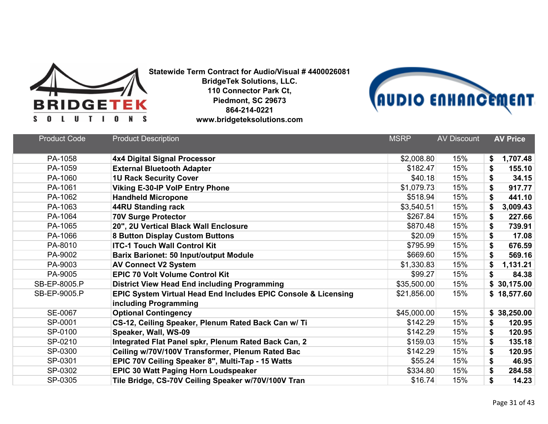



| <b>Product Code</b> | <b>Product Description</b>                                                              | <b>MSRP</b> | <b>AV Discount</b> | <b>AV Price</b> |
|---------------------|-----------------------------------------------------------------------------------------|-------------|--------------------|-----------------|
| PA-1058             | <b>4x4 Digital Signal Processor</b>                                                     | \$2,008.80  | 15%                | 1,707.48<br>\$  |
| PA-1059             | <b>External Bluetooth Adapter</b>                                                       | \$182.47    | 15%                | \$<br>155.10    |
| PA-1060             | <b>1U Rack Security Cover</b>                                                           | \$40.18     | 15%                | \$<br>34.15     |
| PA-1061             | <b>Viking E-30-IP VoIP Entry Phone</b>                                                  | \$1,079.73  | 15%                | \$<br>917.77    |
| PA-1062             | <b>Handheld Micropone</b>                                                               | \$518.94    | 15%                | \$<br>441.10    |
| PA-1063             | 44RU Standing rack                                                                      | \$3,540.51  | 15%                | \$<br>3,009.43  |
| PA-1064             | <b>70V Surge Protector</b>                                                              | \$267.84    | 15%                | 227.66<br>\$    |
| PA-1065             | 20", 2U Vertical Black Wall Enclosure                                                   | \$870.48    | 15%                | \$<br>739.91    |
| PA-1066             | <b>8 Button Display Custom Buttons</b>                                                  | \$20.09     | 15%                | \$<br>17.08     |
| PA-8010             | <b>ITC-1 Touch Wall Control Kit</b>                                                     | \$795.99    | 15%                | \$<br>676.59    |
| PA-9002             | <b>Barix Barionet: 50 Input/output Module</b>                                           | \$669.60    | 15%                | \$<br>569.16    |
| PA-9003             | <b>AV Connect V2 System</b>                                                             | \$1,330.83  | 15%                | \$<br>1,131.21  |
| PA-9005             | <b>EPIC 70 Volt Volume Control Kit</b>                                                  | \$99.27     | 15%                | \$<br>84.38     |
| SB-EP-8005.P        | <b>District View Head End including Programming</b>                                     | \$35,500.00 | 15%                | \$30,175.00     |
| SB-EP-9005.P        | EPIC System Virtual Head End Includes EPIC Console & Licensing<br>including Programming | \$21,856.00 | 15%                | \$18,577.60     |
| SE-0067             | <b>Optional Contingency</b>                                                             | \$45,000.00 | 15%                | \$38,250.00     |
| SP-0001             | CS-12, Ceiling Speaker, Plenum Rated Back Can w/ Ti                                     | \$142.29    | 15%                | \$<br>120.95    |
| SP-0100             | Speaker, Wall, WS-09                                                                    | \$142.29    | 15%                | \$<br>120.95    |
| SP-0210             | Integrated Flat Panel spkr, Plenum Rated Back Can, 2                                    | \$159.03    | 15%                | \$<br>135.18    |
| SP-0300             | Ceiling w/70V/100V Transformer, Plenum Rated Bac                                        | \$142.29    | 15%                | \$<br>120.95    |
| SP-0301             | EPIC 70V Ceiling Speaker 8", Multi-Tap - 15 Watts                                       | \$55.24     | 15%                | \$<br>46.95     |
| SP-0302             | <b>EPIC 30 Watt Paging Horn Loudspeaker</b>                                             | \$334.80    | 15%                | \$<br>284.58    |
| SP-0305             | Tile Bridge, CS-70V Ceiling Speaker w/70V/100V Tran                                     | \$16.74     | 15%                | \$<br>14.23     |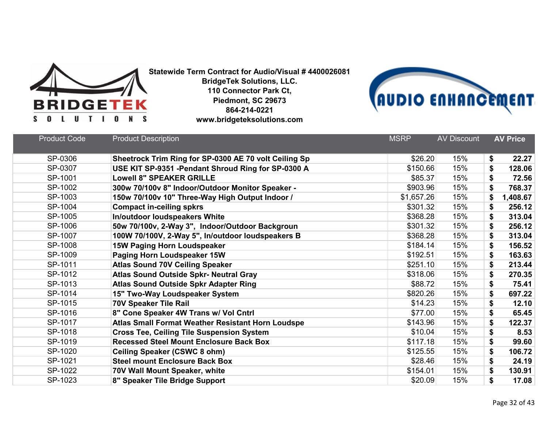



| SP-0306<br>Sheetrock Trim Ring for SP-0300 AE 70 volt Ceiling Sp<br>\$26.20<br>15%<br>\$<br>SP-0307<br>USE KIT SP-9351 - Pendant Shroud Ring for SP-0300 A<br>\$150.66<br>15%<br>\$<br>SP-1001<br>\$85.37<br>15%<br><b>Lowell 8" SPEAKER GRILLE</b><br>\$<br>SP-1002<br>\$903.96<br>15%<br>300w 70/100v 8" Indoor/Outdoor Monitor Speaker -<br>\$<br>SP-1003<br>\$1,657.26<br>15%<br>150w 70/100v 10" Three-Way High Output Indoor /<br>\$<br>SP-1004<br>\$301.32<br>15%<br><b>Compact in-ceiling spkrs</b><br>\$<br>SP-1005<br>In/outdoor loudspeakers White<br>15%<br>\$368.28<br>\$<br>SP-1006<br>15%<br>50w 70/100v, 2-Way 3", Indoor/Outdoor Backgroun<br>\$301.32<br>\$<br>SP-1007<br>\$368.28<br>15%<br>100W 70/100V, 2-Way 5", In/outdoor loudspeakers B<br>\$<br>SP-1008<br><b>15W Paging Horn Loudspeaker</b><br>\$184.14<br>15%<br>\$<br>SP-1009<br>\$192.51<br>15%<br>\$<br>Paging Horn Loudspeaker 15W<br>SP-1011<br><b>Atlas Sound 70V Ceiling Speaker</b><br>\$251.10<br>15%<br>\$<br>SP-1012<br><b>Atlas Sound Outside Spkr- Neutral Gray</b><br>\$318.06<br>15%<br>\$<br>SP-1013<br>\$88.72<br>15%<br><b>Atlas Sound Outside Spkr Adapter Ring</b><br>\$<br>SP-1014<br>\$820.26<br>15%<br>\$<br>15" Two-Way Loudspeaker System<br>SP-1015<br>15%<br>\$14.23<br>\$<br><b>70V Speaker Tile Rail</b><br>SP-1016<br>8" Cone Speaker 4W Trans w/ Vol Cntrl<br>\$77.00<br>15%<br>\$<br>SP-1017<br>15%<br>Atlas Small Format Weather Resistant Horn Loudspe<br>\$143.96<br>\$<br>SP-1018<br>15%<br>\$<br>\$10.04<br><b>Cross Tee, Ceiling Tile Suspension System</b> | <b>Product Code</b> | <b>Product Description</b>                     | <b>MSRP</b> | <b>AV Discount</b> | <b>AV Price</b> |
|--------------------------------------------------------------------------------------------------------------------------------------------------------------------------------------------------------------------------------------------------------------------------------------------------------------------------------------------------------------------------------------------------------------------------------------------------------------------------------------------------------------------------------------------------------------------------------------------------------------------------------------------------------------------------------------------------------------------------------------------------------------------------------------------------------------------------------------------------------------------------------------------------------------------------------------------------------------------------------------------------------------------------------------------------------------------------------------------------------------------------------------------------------------------------------------------------------------------------------------------------------------------------------------------------------------------------------------------------------------------------------------------------------------------------------------------------------------------------------------------------------------------------------------------------------------------------------|---------------------|------------------------------------------------|-------------|--------------------|-----------------|
|                                                                                                                                                                                                                                                                                                                                                                                                                                                                                                                                                                                                                                                                                                                                                                                                                                                                                                                                                                                                                                                                                                                                                                                                                                                                                                                                                                                                                                                                                                                                                                                |                     |                                                |             |                    | 22.27           |
|                                                                                                                                                                                                                                                                                                                                                                                                                                                                                                                                                                                                                                                                                                                                                                                                                                                                                                                                                                                                                                                                                                                                                                                                                                                                                                                                                                                                                                                                                                                                                                                |                     |                                                |             |                    | 128.06          |
|                                                                                                                                                                                                                                                                                                                                                                                                                                                                                                                                                                                                                                                                                                                                                                                                                                                                                                                                                                                                                                                                                                                                                                                                                                                                                                                                                                                                                                                                                                                                                                                |                     |                                                |             |                    | 72.56           |
|                                                                                                                                                                                                                                                                                                                                                                                                                                                                                                                                                                                                                                                                                                                                                                                                                                                                                                                                                                                                                                                                                                                                                                                                                                                                                                                                                                                                                                                                                                                                                                                |                     |                                                |             |                    | 768.37          |
|                                                                                                                                                                                                                                                                                                                                                                                                                                                                                                                                                                                                                                                                                                                                                                                                                                                                                                                                                                                                                                                                                                                                                                                                                                                                                                                                                                                                                                                                                                                                                                                |                     |                                                |             |                    | 1,408.67        |
|                                                                                                                                                                                                                                                                                                                                                                                                                                                                                                                                                                                                                                                                                                                                                                                                                                                                                                                                                                                                                                                                                                                                                                                                                                                                                                                                                                                                                                                                                                                                                                                |                     |                                                |             |                    | 256.12          |
|                                                                                                                                                                                                                                                                                                                                                                                                                                                                                                                                                                                                                                                                                                                                                                                                                                                                                                                                                                                                                                                                                                                                                                                                                                                                                                                                                                                                                                                                                                                                                                                |                     |                                                |             |                    | 313.04          |
|                                                                                                                                                                                                                                                                                                                                                                                                                                                                                                                                                                                                                                                                                                                                                                                                                                                                                                                                                                                                                                                                                                                                                                                                                                                                                                                                                                                                                                                                                                                                                                                |                     |                                                |             |                    | 256.12          |
|                                                                                                                                                                                                                                                                                                                                                                                                                                                                                                                                                                                                                                                                                                                                                                                                                                                                                                                                                                                                                                                                                                                                                                                                                                                                                                                                                                                                                                                                                                                                                                                |                     |                                                |             |                    | 313.04          |
|                                                                                                                                                                                                                                                                                                                                                                                                                                                                                                                                                                                                                                                                                                                                                                                                                                                                                                                                                                                                                                                                                                                                                                                                                                                                                                                                                                                                                                                                                                                                                                                |                     |                                                |             |                    | 156.52          |
|                                                                                                                                                                                                                                                                                                                                                                                                                                                                                                                                                                                                                                                                                                                                                                                                                                                                                                                                                                                                                                                                                                                                                                                                                                                                                                                                                                                                                                                                                                                                                                                |                     |                                                |             |                    | 163.63          |
|                                                                                                                                                                                                                                                                                                                                                                                                                                                                                                                                                                                                                                                                                                                                                                                                                                                                                                                                                                                                                                                                                                                                                                                                                                                                                                                                                                                                                                                                                                                                                                                |                     |                                                |             |                    | 213.44          |
|                                                                                                                                                                                                                                                                                                                                                                                                                                                                                                                                                                                                                                                                                                                                                                                                                                                                                                                                                                                                                                                                                                                                                                                                                                                                                                                                                                                                                                                                                                                                                                                |                     |                                                |             |                    | 270.35          |
|                                                                                                                                                                                                                                                                                                                                                                                                                                                                                                                                                                                                                                                                                                                                                                                                                                                                                                                                                                                                                                                                                                                                                                                                                                                                                                                                                                                                                                                                                                                                                                                |                     |                                                |             |                    | 75.41           |
|                                                                                                                                                                                                                                                                                                                                                                                                                                                                                                                                                                                                                                                                                                                                                                                                                                                                                                                                                                                                                                                                                                                                                                                                                                                                                                                                                                                                                                                                                                                                                                                |                     |                                                |             |                    | 697.22          |
|                                                                                                                                                                                                                                                                                                                                                                                                                                                                                                                                                                                                                                                                                                                                                                                                                                                                                                                                                                                                                                                                                                                                                                                                                                                                                                                                                                                                                                                                                                                                                                                |                     |                                                |             |                    | 12.10           |
|                                                                                                                                                                                                                                                                                                                                                                                                                                                                                                                                                                                                                                                                                                                                                                                                                                                                                                                                                                                                                                                                                                                                                                                                                                                                                                                                                                                                                                                                                                                                                                                |                     |                                                |             |                    | 65.45           |
|                                                                                                                                                                                                                                                                                                                                                                                                                                                                                                                                                                                                                                                                                                                                                                                                                                                                                                                                                                                                                                                                                                                                                                                                                                                                                                                                                                                                                                                                                                                                                                                |                     |                                                |             |                    | 122.37          |
|                                                                                                                                                                                                                                                                                                                                                                                                                                                                                                                                                                                                                                                                                                                                                                                                                                                                                                                                                                                                                                                                                                                                                                                                                                                                                                                                                                                                                                                                                                                                                                                |                     |                                                |             |                    | 8.53            |
|                                                                                                                                                                                                                                                                                                                                                                                                                                                                                                                                                                                                                                                                                                                                                                                                                                                                                                                                                                                                                                                                                                                                                                                                                                                                                                                                                                                                                                                                                                                                                                                | SP-1019             | <b>Recessed Steel Mount Enclosure Back Box</b> | \$117.18    | 15%                | \$<br>99.60     |
| SP-1020<br>15%<br>\$125.55<br>\$<br><b>Ceiling Speaker (CSWC 8 ohm)</b>                                                                                                                                                                                                                                                                                                                                                                                                                                                                                                                                                                                                                                                                                                                                                                                                                                                                                                                                                                                                                                                                                                                                                                                                                                                                                                                                                                                                                                                                                                        |                     |                                                |             |                    | 106.72          |
| SP-1021<br>\$28.46<br>15%<br><b>Steel mount Enclosure Back Box</b><br>\$                                                                                                                                                                                                                                                                                                                                                                                                                                                                                                                                                                                                                                                                                                                                                                                                                                                                                                                                                                                                                                                                                                                                                                                                                                                                                                                                                                                                                                                                                                       |                     |                                                |             |                    | 24.19           |
| SP-1022<br>\$154.01<br>15%<br>70V Wall Mount Speaker, white<br>\$                                                                                                                                                                                                                                                                                                                                                                                                                                                                                                                                                                                                                                                                                                                                                                                                                                                                                                                                                                                                                                                                                                                                                                                                                                                                                                                                                                                                                                                                                                              |                     |                                                |             |                    | 130.91          |
| SP-1023<br>8" Speaker Tile Bridge Support<br>\$20.09<br>15%<br>\$                                                                                                                                                                                                                                                                                                                                                                                                                                                                                                                                                                                                                                                                                                                                                                                                                                                                                                                                                                                                                                                                                                                                                                                                                                                                                                                                                                                                                                                                                                              |                     |                                                |             |                    | 17.08           |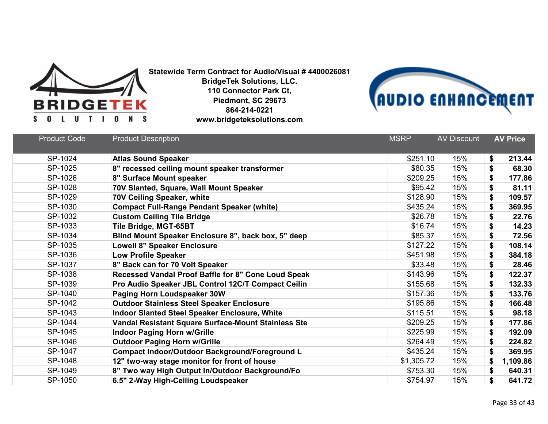



| <b>Product Code</b> | <b>Product Description</b>                            | <b>MSRP</b> | <b>AV Discount</b> | <b>AV Price</b> |
|---------------------|-------------------------------------------------------|-------------|--------------------|-----------------|
| SP-1024             | <b>Atlas Sound Speaker</b>                            | \$251.10    | 15%                | 213.44<br>\$    |
| SP-1025             | 8" recessed ceiling mount speaker transformer         | \$80.35     | 15%                | \$<br>68.30     |
| SP-1026             | 8" Surface Mount speaker                              | \$209.25    | 15%                | \$<br>177.86    |
| SP-1028             | 70V Slanted, Square, Wall Mount Speaker               | \$95.42     | 15%                | \$<br>81.11     |
| SP-1029             | 70V Ceiling Speaker, white                            | \$128.90    | 15%                | \$<br>109.57    |
| SP-1030             | <b>Compact Full-Range Pendant Speaker (white)</b>     | \$435.24    | 15%                | \$<br>369.95    |
| SP-1032             | <b>Custom Ceiling Tile Bridge</b>                     | \$26.78     | 15%                | \$<br>22.76     |
| SP-1033             | Tile Bridge, MGT-65BT                                 | \$16.74     | 15%                | \$<br>14.23     |
| SP-1034             | Blind Mount Speaker Enclosure 8", back box, 5" deep   | \$85.37     | 15%                | \$<br>72.56     |
| SP-1035             | <b>Lowell 8" Speaker Enclosure</b>                    | \$127.22    | 15%                | \$<br>108.14    |
| SP-1036             | <b>Low Profile Speaker</b>                            | \$451.98    | 15%                | \$<br>384.18    |
| SP-1037             | 8" Back can for 70 Volt Speaker                       | \$33.48     | 15%                | \$<br>28.46     |
| SP-1038             | Recessed Vandal Proof Baffle for 8" Cone Loud Speak   | \$143.96    | 15%                | \$<br>122.37    |
| SP-1039             | Pro Audio Speaker JBL Control 12C/T Compact Ceilin    | \$155.68    | 15%                | \$<br>132.33    |
| SP-1040             | Paging Horn Loudspeaker 30W                           | \$157.36    | 15%                | \$<br>133.76    |
| SP-1042             | <b>Outdoor Stainless Steel Speaker Enclosure</b>      | \$195.86    | 15%                | \$<br>166.48    |
| SP-1043             | <b>Indoor Slanted Steel Speaker Enclosure, White</b>  | \$115.51    | 15%                | \$<br>98.18     |
| SP-1044             | Vandal Resistant Square Surface-Mount Stainless Ste   | \$209.25    | 15%                | \$<br>177.86    |
| SP-1045             | <b>Indoor Paging Horn w/Grille</b>                    | \$225.99    | 15%                | \$<br>192.09    |
| SP-1046             | <b>Outdoor Paging Horn w/Grille</b>                   | \$264.49    | 15%                | \$<br>224.82    |
| SP-1047             | <b>Compact Indoor/Outdoor Background/Foreground L</b> | \$435.24    | 15%                | 369.95<br>\$    |
| SP-1048             | 12" two-way stage monitor for front of house          | \$1,305.72  | 15%                | \$<br>1,109.86  |
| SP-1049             | 8" Two way High Output In/Outdoor Background/Fo       | \$753.30    | 15%                | \$<br>640.31    |
| SP-1050             | 6.5" 2-Way High-Ceiling Loudspeaker                   | \$754.97    | 15%                | \$<br>641.72    |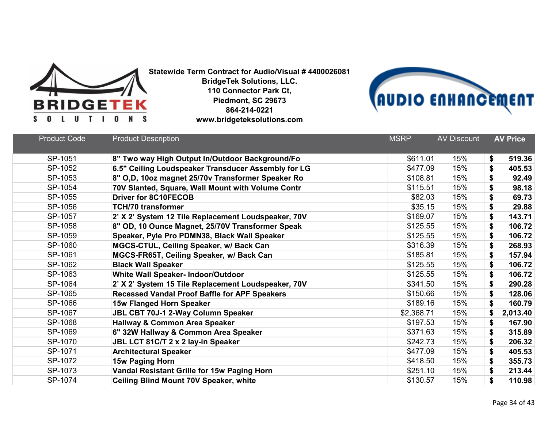



| <b>Product Code</b> | <b>Product Description</b>                           | <b>MSRP</b> | <b>AV Discount</b> | <b>AV Price</b> |
|---------------------|------------------------------------------------------|-------------|--------------------|-----------------|
|                     |                                                      |             |                    |                 |
| SP-1051             | 8" Two way High Output In/Outdoor Background/Fo      | \$611.01    | 15%                | \$<br>519.36    |
| SP-1052             | 6.5" Ceiling Loudspeaker Transducer Assembly for LG  | \$477.09    | 15%                | \$<br>405.53    |
| SP-1053             | 8" O,D, 10oz magnet 25/70v Transformer Speaker Ro    | \$108.81    | 15%                | \$<br>92.49     |
| SP-1054             | 70V Slanted, Square, Wall Mount with Volume Contr    | \$115.51    | 15%                | 98.18<br>\$     |
| SP-1055             | <b>Driver for 8C10FECOB</b>                          | \$82.03     | 15%                | \$<br>69.73     |
| SP-1056             | <b>TCH/70 transformer</b>                            | \$35.15     | 15%                | \$<br>29.88     |
| SP-1057             | 2' X 2' System 12 Tile Replacement Loudspeaker, 70V  | \$169.07    | 15%                | 143.71<br>\$    |
| SP-1058             | 8" OD, 10 Ounce Magnet, 25/70V Transformer Speak     | \$125.55    | 15%                | \$<br>106.72    |
| SP-1059             | Speaker, Pyle Pro PDMN38, Black Wall Speaker         | \$125.55    | 15%                | \$<br>106.72    |
| SP-1060             | MGCS-CTUL, Ceiling Speaker, w/ Back Can              | \$316.39    | 15%                | \$<br>268.93    |
| SP-1061             | MGCS-FR65T, Ceiling Speaker, w/ Back Can             | \$185.81    | 15%                | \$<br>157.94    |
| SP-1062             | <b>Black Wall Speaker</b>                            | \$125.55    | 15%                | \$<br>106.72    |
| SP-1063             | White Wall Speaker- Indoor/Outdoor                   | \$125.55    | 15%                | \$<br>106.72    |
| SP-1064             | 2' X 2' System 15 Tile Replacement Loudspeaker, 70V  | \$341.50    | 15%                | \$<br>290.28    |
| SP-1065             | <b>Recessed Vandal Proof Baffle for APF Speakers</b> | \$150.66    | 15%                | \$<br>128.06    |
| SP-1066             | 15w Flanged Horn Speaker                             | \$189.16    | 15%                | \$<br>160.79    |
| SP-1067             | JBL CBT 70J-1 2-Way Column Speaker                   | \$2,368.71  | 15%                | \$<br>2,013.40  |
| SP-1068             | <b>Hallway &amp; Common Area Speaker</b>             | \$197.53    | 15%                | \$<br>167.90    |
| SP-1069             | 6" 32W Hallway & Common Area Speaker                 | \$371.63    | 15%                | \$<br>315.89    |
| SP-1070             | JBL LCT 81C/T 2 x 2 lay-in Speaker                   | \$242.73    | 15%                | \$<br>206.32    |
| SP-1071             | <b>Architectural Speaker</b>                         | \$477.09    | 15%                | \$<br>405.53    |
| SP-1072             | 15w Paging Horn                                      | \$418.50    | 15%                | \$<br>355.73    |
| SP-1073             | Vandal Resistant Grille for 15w Paging Horn          | \$251.10    | 15%                | \$<br>213.44    |
| SP-1074             | <b>Ceiling Blind Mount 70V Speaker, white</b>        | \$130.57    | 15%                | \$<br>110.98    |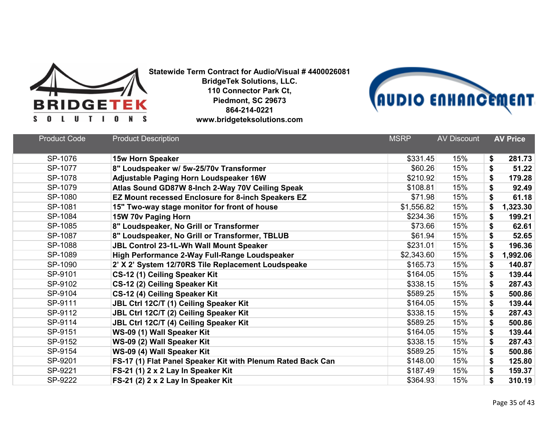



| <b>Product Code</b> | <b>Product Description</b>                                  | <b>MSRP</b> | <b>AV Discount</b> | <b>AV Price</b> |
|---------------------|-------------------------------------------------------------|-------------|--------------------|-----------------|
| SP-1076             | <b>15w Horn Speaker</b>                                     | \$331.45    | 15%                | 281.73<br>\$    |
| SP-1077             | 8" Loudspeaker w/ 5w-25/70v Transformer                     | \$60.26     | 15%                | \$<br>51.22     |
| SP-1078             | Adjustable Paging Horn Loudspeaker 16W                      | \$210.92    | 15%                | 179.28<br>\$    |
| SP-1079             | Atlas Sound GD87W 8-Inch 2-Way 70V Ceiling Speak            | \$108.81    | 15%                | \$<br>92.49     |
| SP-1080             | EZ Mount recessed Enclosure for 8-inch Speakers EZ          | \$71.98     | 15%                | \$<br>61.18     |
| SP-1081             | 15" Two-way stage monitor for front of house                | \$1,556.82  | 15%                | 1,323.30<br>\$  |
| SP-1084             | 15W 70v Paging Horn                                         | \$234.36    | 15%                | 199.21<br>\$    |
| SP-1085             | 8" Loudspeaker, No Grill or Transformer                     | \$73.66     | 15%                | \$<br>62.61     |
| SP-1087             | 8" Loudspeaker, No Grill or Transformer, TBLUB              | \$61.94     | 15%                | \$<br>52.65     |
| SP-1088             | <b>JBL Control 23-1L-Wh Wall Mount Speaker</b>              | \$231.01    | 15%                | 196.36<br>\$    |
| SP-1089             | High Performance 2-Way Full-Range Loudspeaker               | \$2,343.60  | 15%                | \$<br>1,992.06  |
| SP-1090             | 2' X 2' System 12/70RS Tile Replacement Loudspeake          | \$165.73    | 15%                | 140.87<br>\$    |
| SP-9101             | CS-12 (1) Ceiling Speaker Kit                               | \$164.05    | 15%                | \$<br>139.44    |
| SP-9102             | CS-12 (2) Ceiling Speaker Kit                               | \$338.15    | 15%                | \$<br>287.43    |
| SP-9104             | CS-12 (4) Ceiling Speaker Kit                               | \$589.25    | 15%                | \$<br>500.86    |
| SP-9111             | JBL Ctrl 12C/T (1) Ceiling Speaker Kit                      | \$164.05    | 15%                | 139.44<br>\$    |
| SP-9112             | JBL Ctrl 12C/T (2) Ceiling Speaker Kit                      | \$338.15    | 15%                | \$<br>287.43    |
| SP-9114             | JBL Ctrl 12C/T (4) Ceiling Speaker Kit                      | \$589.25    | 15%                | \$<br>500.86    |
| SP-9151             | WS-09 (1) Wall Speaker Kit                                  | \$164.05    | 15%                | \$<br>139.44    |
| SP-9152             | WS-09 (2) Wall Speaker Kit                                  | \$338.15    | 15%                | \$<br>287.43    |
| SP-9154             | WS-09 (4) Wall Speaker Kit                                  | \$589.25    | 15%                | \$<br>500.86    |
| SP-9201             | FS-17 (1) Flat Panel Speaker Kit with Plenum Rated Back Can | \$148.00    | 15%                | \$<br>125.80    |
| SP-9221             | FS-21 (1) 2 x 2 Lay In Speaker Kit                          | \$187.49    | 15%                | \$<br>159.37    |
| SP-9222             | FS-21 (2) 2 x 2 Lay In Speaker Kit                          | \$364.93    | 15%                | \$<br>310.19    |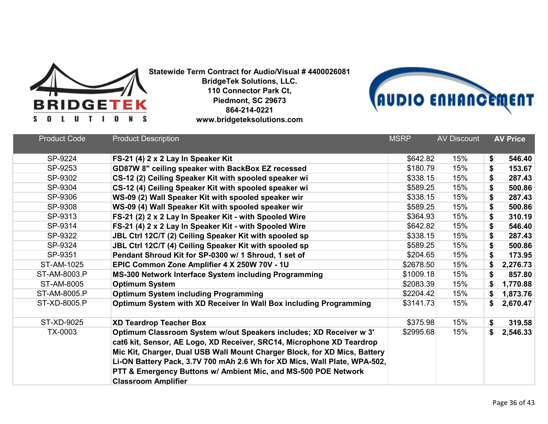



| <b>Product Code</b> | <b>Product Description</b>                                                                                                                                                                                                                                                                                                                                                                            | <b>MSRP</b> | <b>AV Discount</b> | <b>AV Price</b> |
|---------------------|-------------------------------------------------------------------------------------------------------------------------------------------------------------------------------------------------------------------------------------------------------------------------------------------------------------------------------------------------------------------------------------------------------|-------------|--------------------|-----------------|
| SP-9224             | FS-21 (4) 2 x 2 Lay In Speaker Kit                                                                                                                                                                                                                                                                                                                                                                    | \$642.82    | 15%                | \$<br>546.40    |
| SP-9253             | GD87W 8" ceiling speaker with BackBox EZ recessed                                                                                                                                                                                                                                                                                                                                                     | \$180.79    | 15%                | \$<br>153.67    |
| SP-9302             | CS-12 (2) Ceiling Speaker Kit with spooled speaker wi                                                                                                                                                                                                                                                                                                                                                 | \$338.15    | 15%                | \$<br>287.43    |
| SP-9304             | CS-12 (4) Ceiling Speaker Kit with spooled speaker wi                                                                                                                                                                                                                                                                                                                                                 | \$589.25    | 15%                | \$<br>500.86    |
| SP-9306             | WS-09 (2) Wall Speaker Kit with spooled speaker wir                                                                                                                                                                                                                                                                                                                                                   | \$338.15    | 15%                | \$<br>287.43    |
| SP-9308             | WS-09 (4) Wall Speaker Kit with spooled speaker wir                                                                                                                                                                                                                                                                                                                                                   | \$589.25    | 15%                | \$<br>500.86    |
| SP-9313             | FS-21 (2) 2 x 2 Lay In Speaker Kit - with Spooled Wire                                                                                                                                                                                                                                                                                                                                                | \$364.93    | 15%                | \$<br>310.19    |
| SP-9314             | FS-21 (4) 2 x 2 Lay In Speaker Kit - with Spooled Wire                                                                                                                                                                                                                                                                                                                                                | \$642.82    | 15%                | \$<br>546.40    |
| SP-9322             | JBL Ctrl 12C/T (2) Ceiling Speaker Kit with spooled sp                                                                                                                                                                                                                                                                                                                                                | \$338.15    | 15%                | \$<br>287.43    |
| SP-9324             | JBL Ctrl 12C/T (4) Ceiling Speaker Kit with spooled sp                                                                                                                                                                                                                                                                                                                                                | \$589.25    | 15%                | \$<br>500.86    |
| SP-9351             | Pendant Shroud Kit for SP-0300 w/ 1 Shroud, 1 set of                                                                                                                                                                                                                                                                                                                                                  | \$204.65    | 15%                | \$<br>173.95    |
| ST-AM-1025          | EPIC Common Zone Amplifier 4 X 250W 70V - 1U                                                                                                                                                                                                                                                                                                                                                          | \$2678.50   | 15%                | \$<br>2,276.73  |
| ST-AM-8003.P        | MS-300 Network Interface System including Programming                                                                                                                                                                                                                                                                                                                                                 | \$1009.18   | 15%                | \$<br>857.80    |
| ST-AM-8005          | <b>Optimum System</b>                                                                                                                                                                                                                                                                                                                                                                                 | \$2083.39   | 15%                | \$<br>1,770.88  |
| ST-AM-8005.P        | <b>Optimum System including Programming</b>                                                                                                                                                                                                                                                                                                                                                           | \$2204.42   | 15%                | \$<br>1,873.76  |
| ST-XD-8005.P        | Optimum System with XD Receiver In Wall Box including Programming                                                                                                                                                                                                                                                                                                                                     | \$3141.73   | 15%                | \$<br>2,670.47  |
| ST-XD-9025          | <b>XD Teardrop Teacher Box</b>                                                                                                                                                                                                                                                                                                                                                                        | \$375.98    | 15%                | \$<br>319.58    |
| TX-0003             | Optimum Classroom System w/out Speakers includes; XD Receiver w 3'<br>cat6 kit, Sensor, AE Logo, XD Receiver, SRC14, Microphone XD Teardrop<br>Mic Kit, Charger, Dual USB Wall Mount Charger Block, for XD Mics, Battery<br>Li-ON Battery Pack, 3.7V 700 mAh 2.6 Wh for XD Mics, Wall Plate, WPA-502,<br>PTT & Emergency Buttons w/ Ambient Mic, and MS-500 POE Network<br><b>Classroom Amplifier</b> | \$2995.68   | 15%                | \$<br>2,546.33  |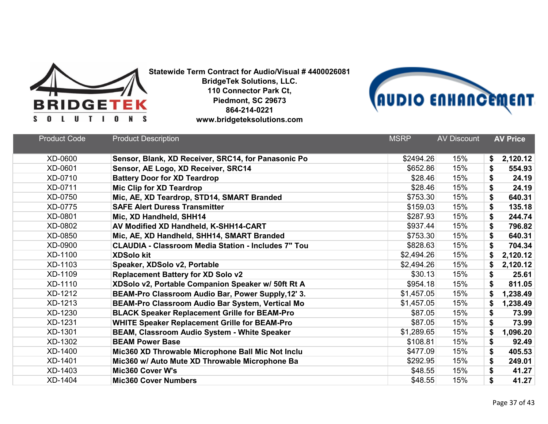



| <b>Product Code</b> | <b>Product Description</b>                                 | <b>MSRP</b> | <b>AV Discount</b> | <b>AV Price</b> |
|---------------------|------------------------------------------------------------|-------------|--------------------|-----------------|
| XD-0600             | Sensor, Blank, XD Receiver, SRC14, for Panasonic Po        | \$2494.26   | 15%                | 2,120.12<br>\$  |
| XD-0601             | Sensor, AE Logo, XD Receiver, SRC14                        | \$652.86    | 15%                | \$<br>554.93    |
| XD-0710             | <b>Battery Door for XD Teardrop</b>                        | \$28.46     | 15%                | \$<br>24.19     |
| XD-0711             | Mic Clip for XD Teardrop                                   | \$28.46     | 15%                | \$<br>24.19     |
| XD-0750             | Mic, AE, XD Teardrop, STD14, SMART Branded                 | \$753.30    | 15%                | \$<br>640.31    |
| XD-0775             | <b>SAFE Alert Duress Transmitter</b>                       | \$159.03    | 15%                | \$<br>135.18    |
| XD-0801             | Mic, XD Handheld, SHH14                                    | \$287.93    | 15%                | \$<br>244.74    |
| XD-0802             | AV Modified XD Handheld, K-SHH14-CART                      | \$937.44    | 15%                | \$<br>796.82    |
| XD-0850             | Mic, AE, XD Handheld, SHH14, SMART Branded                 | \$753.30    | 15%                | \$<br>640.31    |
| XD-0900             | <b>CLAUDIA - Classroom Media Station - Includes 7" Tou</b> | \$828.63    | 15%                | \$<br>704.34    |
| XD-1100             | <b>XDSolo kit</b>                                          | \$2,494.26  | 15%                | \$<br>2,120.12  |
| XD-1103             | Speaker, XDSolo v2, Portable                               | \$2,494.26  | 15%                | 2,120.12<br>\$  |
| XD-1109             | <b>Replacement Battery for XD Solo v2</b>                  | \$30.13     | 15%                | \$<br>25.61     |
| XD-1110             | XDSolo v2, Portable Companion Speaker w/ 50ft Rt A         | \$954.18    | 15%                | 811.05<br>\$    |
| XD-1212             | BEAM-Pro Classroom Audio Bar, Power Supply, 12' 3.         | \$1,457.05  | 15%                | \$<br>1,238.49  |
| XD-1213             | BEAM-Pro Classroom Audio Bar System, Vertical Mo           | \$1,457.05  | 15%                | 1,238.49<br>\$  |
| XD-1230             | <b>BLACK Speaker Replacement Grille for BEAM-Pro</b>       | \$87.05     | 15%                | \$<br>73.99     |
| XD-1231             | <b>WHITE Speaker Replacement Grille for BEAM-Pro</b>       | \$87.05     | 15%                | \$<br>73.99     |
| XD-1301             | BEAM, Classroom Audio System - White Speaker               | \$1,289.65  | 15%                | \$<br>1,096.20  |
| XD-1302             | <b>BEAM Power Base</b>                                     | \$108.81    | 15%                | \$<br>92.49     |
| XD-1400             | Mic360 XD Throwable Microphone Ball Mic Not Inclu          | \$477.09    | 15%                | \$<br>405.53    |
| XD-1401             | Mic360 w/ Auto Mute XD Throwable Microphone Ba             | \$292.95    | 15%                | \$<br>249.01    |
| XD-1403             | Mic360 Cover W's                                           | \$48.55     | 15%                | \$<br>41.27     |
| XD-1404             | <b>Mic360 Cover Numbers</b>                                | \$48.55     | 15%                | \$<br>41.27     |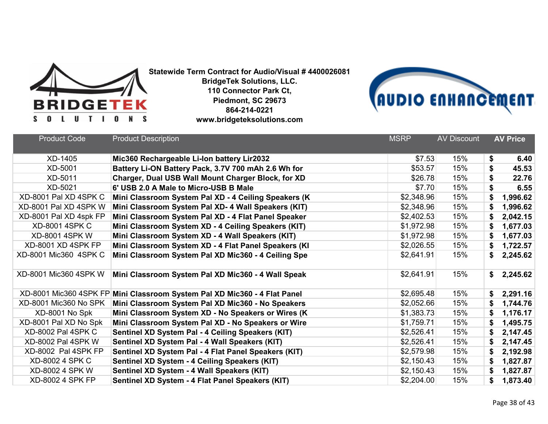



| <b>Product Code</b>     | <b>Product Description</b>                                                | <b>MSRP</b> | <b>AV Discount</b> | <b>AV Price</b> |
|-------------------------|---------------------------------------------------------------------------|-------------|--------------------|-----------------|
| XD-1405                 | Mic360 Rechargeable Li-Ion battery Lir2032                                | \$7.53      | 15%                | \$<br>6.40      |
| XD-5001                 | Battery Li-ON Battery Pack, 3.7V 700 mAh 2.6 Wh for                       | \$53.57     | 15%                | \$<br>45.53     |
| XD-5011                 | Charger, Dual USB Wall Mount Charger Block, for XD                        | \$26.78     | 15%                | \$<br>22.76     |
| XD-5021                 | 6' USB 2.0 A Male to Micro-USB B Male                                     | \$7.70      | 15%                | \$<br>6.55      |
| XD-8001 Pal XD 4SPK C   | Mini Classroom System Pal XD - 4 Ceiling Speakers (K                      | \$2,348.96  | 15%                | \$<br>1,996.62  |
| XD-8001 Pal XD 4SPK W   | Mini Classroom System Pal XD- 4 Wall Speakers (KIT)                       | \$2,348.96  | 15%                | \$<br>1,996.62  |
| XD-8001 Pal XD 4spk FP  | Mini Classroom System Pal XD - 4 Flat Panel Speaker                       | \$2,402.53  | 15%                | \$<br>2,042.15  |
| <b>XD-8001 4SPK C</b>   | Mini Classroom System XD - 4 Ceiling Speakers (KIT)                       | \$1,972.98  | 15%                | \$<br>1,677.03  |
| <b>XD-8001 4SPK W</b>   | Mini Classroom System XD - 4 Wall Speakers (KIT)                          | \$1,972.98  | 15%                | \$<br>1,677.03  |
| XD-8001 XD 4SPK FP      | Mini Classroom System XD - 4 Flat Panel Speakers (KI                      | \$2,026.55  | 15%                | \$<br>1,722.57  |
| XD-8001 Mic360 4SPK C   | Mini Classroom System Pal XD Mic360 - 4 Ceiling Spe                       | \$2,641.91  | 15%                | \$<br>2,245.62  |
| XD-8001 Mic360 4SPK W   | Mini Classroom System Pal XD Mic360 - 4 Wall Speak                        | \$2,641.91  | 15%                | \$<br>2,245.62  |
|                         | XD-8001 Mic360 4SPK FP Mini Classroom System Pal XD Mic360 - 4 Flat Panel | \$2,695.48  | 15%                | \$<br>2,291.16  |
| XD-8001 Mic360 No SPK   | Mini Classroom System Pal XD Mic360 - No Speakers                         | \$2,052.66  | 15%                | \$<br>1,744.76  |
| XD-8001 No Spk          | Mini Classroom System XD - No Speakers or Wires (K                        | \$1,383.73  | 15%                | \$<br>1,176.17  |
| XD-8001 Pal XD No Spk   | Mini Classroom System Pal XD - No Speakers or Wire                        | \$1,759.71  | 15%                | \$<br>1,495.75  |
| XD-8002 Pal 4SPK C      | Sentinel XD System Pal - 4 Ceiling Speakers (KIT)                         | \$2,526.41  | 15%                | \$<br>2,147.45  |
| XD-8002 Pal 4SPK W      | Sentinel XD System Pal - 4 Wall Speakers (KIT)                            | \$2,526.41  | 15%                | \$<br>2,147.45  |
| XD-8002 Pal 4SPK FP     | Sentinel XD System Pal - 4 Flat Panel Speakers (KIT)                      | \$2,579.98  | 15%                | \$<br>2,192.98  |
| <b>XD-8002 4 SPK C</b>  | Sentinel XD System - 4 Ceiling Speakers (KIT)                             | \$2,150.43  | 15%                | \$<br>1,827.87  |
| <b>XD-8002 4 SPK W</b>  | Sentinel XD System - 4 Wall Speakers (KIT)                                | \$2,150.43  | 15%                | \$<br>1,827.87  |
| <b>XD-8002 4 SPK FP</b> | Sentinel XD System - 4 Flat Panel Speakers (KIT)                          | \$2,204.00  | 15%                | \$<br>1,873.40  |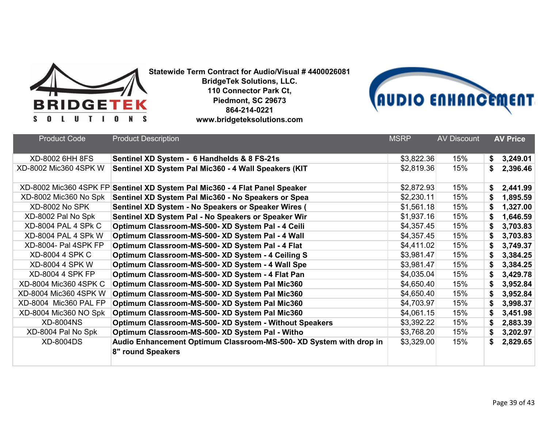



| <b>Product Code</b>     | <b>Product Description</b>                                         | <b>MSRP</b> | <b>AV Discount</b> |    | <b>AV Price</b> |
|-------------------------|--------------------------------------------------------------------|-------------|--------------------|----|-----------------|
|                         |                                                                    |             |                    |    |                 |
| XD-8002 6HH 8FS         | Sentinel XD System - 6 Handhelds & 8 FS-21s                        | \$3,822.36  | 15%                | \$ | 3,249.01        |
| XD-8002 Mic360 4SPK W   | Sentinel XD System Pal Mic360 - 4 Wall Speakers (KIT               | \$2,819.36  | 15%                | S  | 2,396.46        |
| XD-8002 Mic360 4SPK FP  | Sentinel XD System Pal Mic360 - 4 Flat Panel Speaker               | \$2,872.93  | 15%                | \$ | 2,441.99        |
| XD-8002 Mic360 No Spk   | Sentinel XD System Pal Mic360 - No Speakers or Spea                | \$2,230.11  | 15%                | \$ | 1,895.59        |
| <b>XD-8002 No SPK</b>   | Sentinel XD System - No Speakers or Speaker Wires (                | \$1,561.18  | 15%                | \$ | 1,327.00        |
| XD-8002 Pal No Spk      | Sentinel XD System Pal - No Speakers or Speaker Wir                | \$1,937.16  | 15%                | \$ | 1,646.59        |
| XD-8004 PAL 4 SPK C     | Optimum Classroom-MS-500- XD System Pal - 4 Ceili                  | \$4,357.45  | 15%                | \$ | 3,703.83        |
| XD-8004 PAL 4 SPK W     | Optimum Classroom-MS-500- XD System Pal - 4 Wall                   | \$4,357.45  | 15%                | \$ | 3,703.83        |
| XD-8004- Pal 4SPK FP    | Optimum Classroom-MS-500- XD System Pal - 4 Flat                   | \$4,411.02  | 15%                | \$ | 3,749.37        |
| <b>XD-8004 4 SPK C</b>  | Optimum Classroom-MS-500- XD System - 4 Ceiling S                  | \$3,981.47  | 15%                | \$ | 3,384.25        |
| <b>XD-8004 4 SPK W</b>  | Optimum Classroom-MS-500- XD System - 4 Wall Spe                   | \$3,981.47  | 15%                | \$ | 3,384.25        |
| <b>XD-8004 4 SPK FP</b> | Optimum Classroom-MS-500- XD System - 4 Flat Pan                   | \$4,035.04  | 15%                | \$ | 3,429.78        |
| XD-8004 Mic360 4SPK C   | Optimum Classroom-MS-500- XD System Pal Mic360                     | \$4,650.40  | 15%                | \$ | 3,952.84        |
| XD-8004 Mic360 4SPK W   | Optimum Classroom-MS-500- XD System Pal Mic360                     | \$4,650.40  | 15%                | \$ | 3,952.84        |
| XD-8004 Mic360 PAL FP   | Optimum Classroom-MS-500- XD System Pal Mic360                     | \$4,703.97  | 15%                | \$ | 3,998.37        |
| XD-8004 Mic360 NO Spk   | Optimum Classroom-MS-500- XD System Pal Mic360                     | \$4,061.15  | 15%                | \$ | 3,451.98        |
| <b>XD-8004NS</b>        | Optimum Classroom-MS-500- XD System - Without Speakers             | \$3,392.22  | 15%                | \$ | 2,883.39        |
| XD-8004 Pal No Spk      | Optimum Classroom-MS-500- XD System Pal - Witho                    | \$3,768.20  | 15%                | \$ | 3,202.97        |
| <b>XD-8004DS</b>        | Audio Enhancement Optimum Classroom-MS-500- XD System with drop in | \$3,329.00  | 15%                | \$ | 2,829.65        |
|                         | 8" round Speakers                                                  |             |                    |    |                 |
|                         |                                                                    |             |                    |    |                 |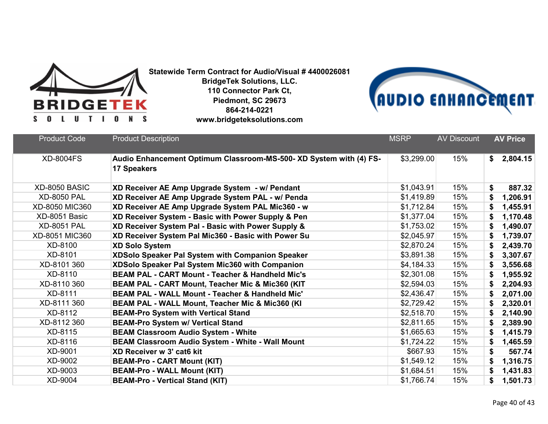



| <b>Product Code</b> | <b>Product Description</b>                                                               | <b>MSRP</b> | <b>AV Discount</b> | <b>AV Price</b> |
|---------------------|------------------------------------------------------------------------------------------|-------------|--------------------|-----------------|
| <b>XD-8004FS</b>    | Audio Enhancement Optimum Classroom-MS-500- XD System with (4) FS-<br><b>17 Speakers</b> | \$3,299.00  | 15%                | 2,804.15<br>\$  |
| XD-8050 BASIC       | XD Receiver AE Amp Upgrade System - w/ Pendant                                           | \$1,043.91  | 15%                | 887.32<br>\$    |
| <b>XD-8050 PAL</b>  | XD Receiver AE Amp Upgrade System PAL - w/ Penda                                         | \$1,419.89  | 15%                | 1,206.91<br>\$  |
| XD-8050 MIC360      | XD Receiver AE Amp Upgrade System PAL Mic360 - w                                         | \$1,712.84  | 15%                | 1,455.91<br>\$  |
| XD-8051 Basic       | XD Receiver System - Basic with Power Supply & Pen                                       | \$1,377.04  | 15%                | 1,170.48<br>\$  |
| <b>XD-8051 PAL</b>  | XD Receiver System Pal - Basic with Power Supply &                                       | \$1,753.02  | 15%                | 1,490.07<br>\$  |
| XD-8051 MIC360      | XD Receiver System Pal Mic360 - Basic with Power Su                                      | \$2,045.97  | 15%                | 1,739.07<br>\$  |
| XD-8100             | <b>XD Solo System</b>                                                                    | \$2,870.24  | 15%                | \$<br>2,439.70  |
| XD-8101             | XDSolo Speaker Pal System with Companion Speaker                                         | \$3,891.38  | 15%                | 3,307.67<br>\$  |
| XD-8101 360         | XDSolo Speaker Pal System Mic360 with Companion                                          | \$4,184.33  | 15%                | 3,556.68<br>\$  |
| XD-8110             | <b>BEAM PAL - CART Mount - Teacher &amp; Handheld Mic's</b>                              | \$2,301.08  | 15%                | 1,955.92<br>\$  |
| XD-8110 360         | BEAM PAL - CART Mount, Teacher Mic & Mic360 (KIT                                         | \$2,594.03  | 15%                | 2,204.93<br>S   |
| XD-8111             | <b>BEAM PAL - WALL Mount - Teacher &amp; Handheld Mic'</b>                               | \$2,436.47  | 15%                | 2,071.00        |
| XD-8111 360         | BEAM PAL - WALL Mount, Teacher Mic & Mic360 (KI                                          | \$2,729.42  | 15%                | 2,320.01        |
| XD-8112             | <b>BEAM-Pro System with Vertical Stand</b>                                               | \$2,518.70  | 15%                | 2,140.90<br>S   |
| XD-8112 360         | <b>BEAM-Pro System w/ Vertical Stand</b>                                                 | \$2,811.65  | 15%                | 2,389.90<br>\$  |
| XD-8115             | <b>BEAM Classroom Audio System - White</b>                                               | \$1,665.63  | 15%                | 1,415.79<br>\$  |
| XD-8116             | BEAM Classroom Audio System - White - Wall Mount                                         | \$1,724.22  | 15%                | 1,465.59<br>\$  |
| XD-9001             | XD Receiver w 3' cat6 kit                                                                | \$667.93    | 15%                | 567.74<br>\$    |
| XD-9002             | <b>BEAM-Pro - CART Mount (KIT)</b>                                                       | \$1,549.12  | 15%                | \$<br>1,316.75  |
| XD-9003             | <b>BEAM-Pro - WALL Mount (KIT)</b>                                                       | \$1,684.51  | 15%                | \$<br>1,431.83  |
| XD-9004             | <b>BEAM-Pro - Vertical Stand (KIT)</b>                                                   | \$1,766.74  | 15%                | \$<br>1,501.73  |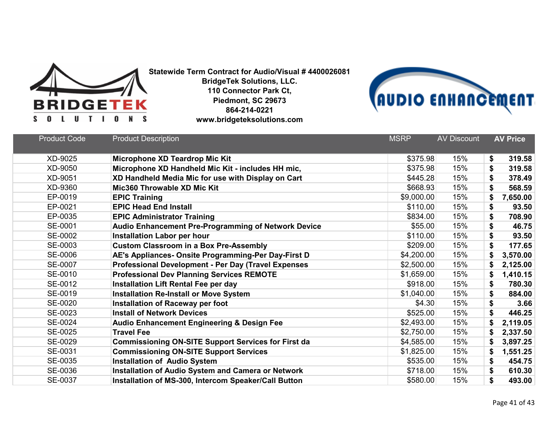



| <b>Product Code</b> | <b>Product Description</b>                                 | <b>MSRP</b> | <b>AV Discount</b> | <b>AV Price</b> |
|---------------------|------------------------------------------------------------|-------------|--------------------|-----------------|
| XD-9025             | Microphone XD Teardrop Mic Kit                             | \$375.98    | 15%                | \$<br>319.58    |
| XD-9050             | Microphone XD Handheld Mic Kit - includes HH mic,          | \$375.98    | 15%                | \$<br>319.58    |
| XD-9051             | XD Handheld Media Mic for use with Display on Cart         | \$445.28    | 15%                | \$<br>378.49    |
| XD-9360             | Mic360 Throwable XD Mic Kit                                | \$668.93    | 15%                | \$<br>568.59    |
| EP-0019             | <b>EPIC Training</b>                                       | \$9,000.00  | 15%                | \$<br>7,650.00  |
| EP-0021             | <b>EPIC Head End Install</b>                               | \$110.00    | 15%                | \$<br>93.50     |
| EP-0035             | <b>EPIC Administrator Training</b>                         | \$834.00    | 15%                | \$<br>708.90    |
| SE-0001             | <b>Audio Enhancement Pre-Programming of Network Device</b> | \$55.00     | 15%                | \$<br>46.75     |
| SE-0002             | <b>Installation Labor per hour</b>                         | \$110.00    | 15%                | \$<br>93.50     |
| SE-0003             | <b>Custom Classroom in a Box Pre-Assembly</b>              | \$209.00    | 15%                | \$<br>177.65    |
| SE-0006             | AE's Appliances- Onsite Programming-Per Day-First D        | \$4,200.00  | 15%                | \$<br>3,570.00  |
| SE-0007             | <b>Professional Development - Per Day (Travel Expenses</b> | \$2,500.00  | 15%                | 2,125.00<br>\$  |
| SE-0010             | <b>Professional Dev Planning Services REMOTE</b>           | \$1,659.00  | 15%                | 1,410.15<br>\$  |
| SE-0012             | Installation Lift Rental Fee per day                       | \$918.00    | 15%                | \$<br>780.30    |
| SE-0019             | <b>Installation Re-Install or Move System</b>              | \$1,040.00  | 15%                | 884.00<br>\$    |
| SE-0020             | Installation of Raceway per foot                           | \$4.30      | 15%                | \$<br>3.66      |
| SE-0023             | <b>Install of Network Devices</b>                          | \$525.00    | 15%                | \$<br>446.25    |
| SE-0024             | <b>Audio Enhancement Engineering &amp; Design Fee</b>      | \$2,493.00  | 15%                | 2,119.05<br>\$  |
| SE-0025             | <b>Travel Fee</b>                                          | \$2,750.00  | 15%                | 2,337.50        |
| SE-0029             | <b>Commissioning ON-SITE Support Services for First da</b> | \$4,585.00  | 15%                | 3,897.25<br>\$  |
| SE-0031             | <b>Commissioning ON-SITE Support Services</b>              | \$1,825.00  | 15%                | 1,551.25<br>\$  |
| SE-0035             | <b>Installation of Audio System</b>                        | \$535.00    | 15%                | \$<br>454.75    |
| SE-0036             | <b>Installation of Audio System and Camera or Network</b>  | \$718.00    | 15%                | \$<br>610.30    |
| SE-0037             | Installation of MS-300, Intercom Speaker/Call Button       | \$580.00    | 15%                | \$<br>493.00    |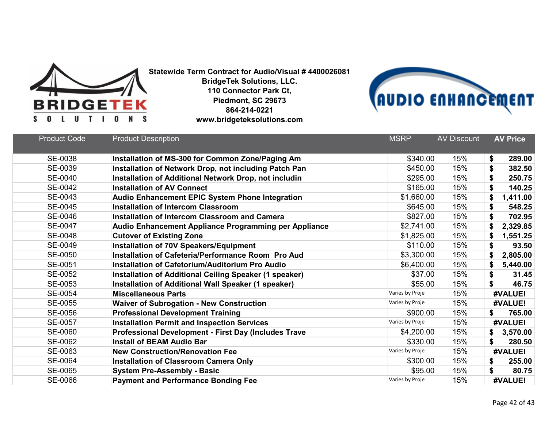



| <b>Product Code</b> | <b>Product Description</b>                                  | <b>MSRP</b>     | <b>AV Discount</b> | <b>AV Price</b> |
|---------------------|-------------------------------------------------------------|-----------------|--------------------|-----------------|
| SE-0038             | Installation of MS-300 for Common Zone/Paging Am            | \$340.00        | 15%                | \$<br>289.00    |
| SE-0039             | Installation of Network Drop, not including Patch Pan       | \$450.00        | 15%                | \$<br>382.50    |
| SE-0040             | Installation of Additional Network Drop, not includin       | \$295.00        | 15%                | \$<br>250.75    |
| SE-0042             | <b>Installation of AV Connect</b>                           | \$165.00        | 15%                | \$<br>140.25    |
| SE-0043             | Audio Enhancement EPIC System Phone Integration             | \$1,660.00      | 15%                | \$<br>1,411.00  |
| SE-0045             | <b>Installation of Intercom Classroom</b>                   | \$645.00        | 15%                | \$<br>548.25    |
| SE-0046             | <b>Installation of Intercom Classroom and Camera</b>        | \$827.00        | 15%                | \$<br>702.95    |
| SE-0047             | Audio Enhancement Appliance Programming per Appliance       | \$2,741.00      | 15%                | \$<br>2,329.85  |
| SE-0048             | <b>Cutover of Existing Zone</b>                             | \$1,825.00      | 15%                | \$<br>1,551.25  |
| SE-0049             | <b>Installation of 70V Speakers/Equipment</b>               | \$110.00        | 15%                | \$<br>93.50     |
| SE-0050             | Installation of Cafeteria/Performance Room Pro Aud          | \$3,300.00      | 15%                | \$<br>2,805.00  |
| SE-0051             | Installation of Cafetorium/Auditorium Pro Audio             | \$6,400.00      | 15%                | \$<br>5,440.00  |
| SE-0052             | Installation of Additional Ceiling Speaker (1 speaker)      | \$37.00         | 15%                | \$<br>31.45     |
| SE-0053             | Installation of Additional Wall Speaker (1 speaker)         | \$55.00         | 15%                | \$<br>46.75     |
| SE-0054             | <b>Miscellaneous Parts</b>                                  | Varies by Proje | 15%                | #VALUE!         |
| SE-0055             | <b>Waiver of Subrogation - New Construction</b>             | Varies by Proje | 15%                | #VALUE!         |
| SE-0056             | <b>Professional Development Training</b>                    | \$900.00        | 15%                | \$<br>765.00    |
| SE-0057             | <b>Installation Permit and Inspection Services</b>          | Varies by Proje | 15%                | #VALUE!         |
| SE-0060             | <b>Professional Development - First Day (Includes Trave</b> | \$4,200.00      | 15%                | 3,570.00<br>\$  |
| SE-0062             | <b>Install of BEAM Audio Bar</b>                            | \$330.00        | 15%                | \$<br>280.50    |
| SE-0063             | <b>New Construction/Renovation Fee</b>                      | Varies by Proje | 15%                | #VALUE!         |
| SE-0064             | <b>Installation of Classroom Camera Only</b>                | \$300.00        | 15%                | 255.00<br>\$    |
| SE-0065             | <b>System Pre-Assembly - Basic</b>                          | \$95.00         | 15%                | \$<br>80.75     |
| SE-0066             | <b>Payment and Performance Bonding Fee</b>                  | Varies by Proje | 15%                | #VALUE!         |